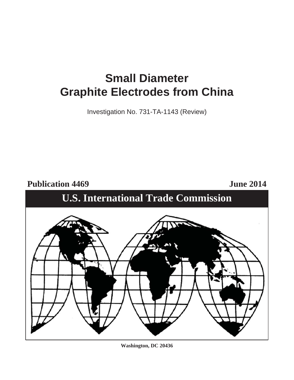# **Small Diameter Graphite Electrodes from China**

Investigation No. 731-TA-1143 (Review)

Publication 4469 June 2014





**Washington, DC 20436**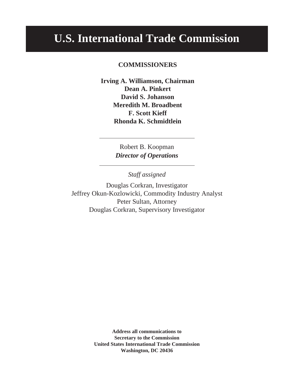# **U.S. International Trade Commission**

# **COMMISSIONERS**

**Irving A. Williamson, Chairman Dean A. Pinkert David S. Johanson Meredith M. Broadbent F. Scott Kieff Rhonda K. Schmidtlein**

> Robert B. Koopman *Director of Operations*

> > *Staff assigned*

Douglas Corkran, Investigator Jeffrey Okun-Kozlowicki, Commodity Industry Analyst Peter Sultan, Attorney Douglas Corkran, Supervisory Investigator

> **Address all communications to Secretary to the Commission United States International Trade Commission Washington, DC 20436**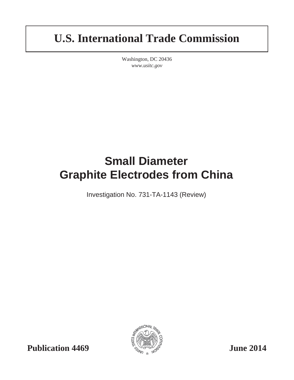# **U.S. International Trade Commission**

Washington, DC 20436 *www.usitc.gov*

# **Small Diameter Graphite Electrodes from China**

Investigation No. 731-TA-1143 (Review)

**Publication 4469**  $\frac{1}{2}$   $\frac{1}{2}$   $\frac{1}{2}$   $\frac{1}{2}$   $\frac{1}{2}$   $\frac{1}{2}$   $\frac{1}{2}$   $\frac{1}{2}$   $\frac{1}{2}$   $\frac{1}{2}$   $\frac{1}{2}$   $\frac{1}{2}$   $\frac{1}{2}$   $\frac{1}{2}$   $\frac{1}{2}$   $\frac{1}{2}$   $\frac{1}{2}$   $\frac{1}{2}$   $\frac{1}{2}$   $\frac{1}{2}$   $\frac$ 

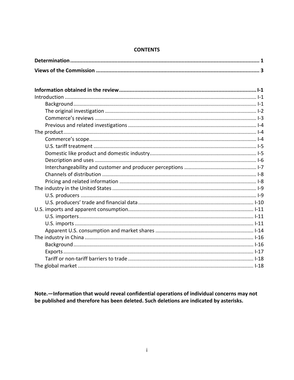## **CONTENTS**

Note. - Information that would reveal confidential operations of individual concerns may not be published and therefore has been deleted. Such deletions are indicated by asterisks.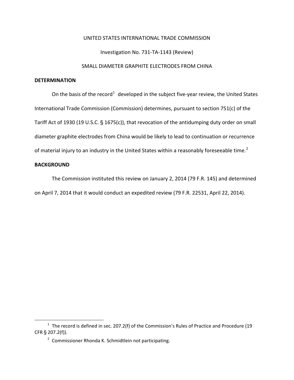## UNITED STATES INTERNATIONAL TRADE COMMISSION

Investigation No. 731-TA-1143 (Review)

## SMALL DIAMETER GRAPHITE ELECTRODES FROM CHINA

## **DETERMINATION**

On the basis of the record<sup>[1](#page-6-0)</sup> developed in the subject five-year review, the United States International Trade Commission (Commission) determines, pursuant to section 751(c) of the Tariff Act of 1930 (19 U.S.C. § 1675(c)), that revocation of the antidumping duty order on small diameter graphite electrodes from China would be likely to lead to continuation or recurrence of material injury to an industry in the United States within a reasonably foreseeable time.<sup>[2](#page-6-1)</sup>

## **BACKGROUND**

 $\overline{a}$ 

The Commission instituted this review on January 2, 2014 (79 F.R. 145) and determined on April 7, 2014 that it would conduct an expedited review (79 F.R. 22531, April 22, 2014).

<span id="page-6-1"></span><span id="page-6-0"></span> $1$  The record is defined in sec. 207.2(f) of the Commission's Rules of Practice and Procedure (19 CFR  $\S$  207.2(f)).

<sup>&</sup>lt;sup>2</sup> Commissioner Rhonda K. Schmidtlein not participating.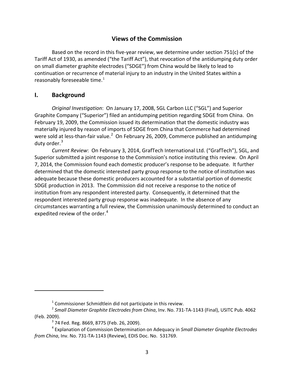# **Views of the Commission**

Based on the record in this five-year review, we determine under section 751(c) of the Tariff Act of 1930, as amended ("the Tariff Act"), that revocation of the antidumping duty order on small diameter graphite electrodes ("SDGE") from China would be likely to lead to continuation or recurrence of material injury to an industry in the United States within a reasonably foreseeable time. $1$ 

# **I. Background**

 $\overline{a}$ 

*Original Investigation*: On January 17, 2008, SGL Carbon LLC ("SGL") and Superior Graphite Company ("Superior") filed an antidumping petition regarding SDGE from China. On February 19, 2009, the Commission issued its determination that the domestic industry was materially injured by reason of imports of SDGE from China that Commerce had determined were sold at less-than-fair value.<sup>[2](#page-8-1)</sup> On February 26, 2009, Commerce published an antidumping duty order.<sup>[3](#page-8-2)</sup>

*Current Review*: On February 3, 2014, GrafTech International Ltd. ("GrafTech"), SGL, and Superior submitted a joint response to the Commission's notice instituting this review. On April 7, 2014, the Commission found each domestic producer's response to be adequate. It further determined that the domestic interested party group response to the notice of institution was adequate because these domestic producers accounted for a substantial portion of domestic SDGE production in 2013. The Commission did not receive a response to the notice of institution from any respondent interested party. Consequently, it determined that the respondent interested party group response was inadequate. In the absence of any circumstances warranting a full review, the Commission unanimously determined to conduct an expedited review of the order.<sup>[4](#page-8-3)</sup>

 $1$  Commissioner Schmidtlein did not participate in this review.

<span id="page-8-1"></span><span id="page-8-0"></span><sup>2</sup> *Small Diameter Graphite Electrodes from China*, Inv. No. 731-TA-1143 (Final), USITC Pub. 4062 (Feb. 2009).

 $3$  74 Fed. Reg. 8669, 8775 (Feb. 26, 2009).

<span id="page-8-3"></span><span id="page-8-2"></span><sup>4</sup> Explanation of Commission Determination on Adequacy in *Small Diameter Graphite Electrodes from China*, Inv. No. 731-TA-1143 (Review), EDIS Doc. No. 531769.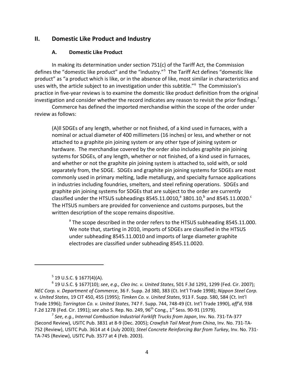## **II. Domestic Like Product and Industry**

#### **A. Domestic Like Product**

In making its determination under section 751(c) of the Tariff Act, the Commission defines the "domestic like product" and the "industry."<sup>[5](#page-9-0)</sup> The Tariff Act defines "domestic like product" as "a product which is like, or in the absence of like, most similar in characteristics and uses with, the article subject to an investigation under this subtitle."[6](#page-9-1) The Commission's practice in five-year reviews is to examine the domestic like product definition from the original investigation and consider whether the record indicates any reason to revisit the prior findings.<sup>[7](#page-9-2)</sup>

Commerce has defined the imported merchandise within the scope of the order under review as follows:

(A)ll SDGEs of any length, whether or not finished, of a kind used in furnaces, with a nominal or actual diameter of 400 millimeters (16 inches) or less, and whether or not attached to a graphite pin joining system or any other type of joining system or hardware. The merchandise covered by the order also includes graphite pin joining systems for SDGEs, of any length, whether or not finished, of a kind used in furnaces, and whether or not the graphite pin joining system is attached to, sold with, or sold separately from, the SDGE. SDGEs and graphite pin joining systems for SDGEs are most commonly used in primary melting, ladle metallurgy, and specialty furnace applications in industries including foundries, smelters, and steel refining operations. SDGEs and graphite pin joining systems for SDGEs that are subject to the order are currently classified under the HTSUS subheadings 8545.11.0010,<sup>a</sup> 3801.10,<sup>b</sup> and 8545.11.0020.<sup>c</sup> The HTSUS numbers are provided for convenience and customs purposes, but the written description of the scope remains dispositive.

<sup>a</sup> The scope described in the order refers to the HTSUS subheading 8545.11.000. We note that, starting in 2010, imports of SDGEs are classified in the HTSUS under subheading 8545.11.0010 and imports of large diameter graphite electrodes are classified under subheading 8545.11.0020.

 $\overline{a}$ 

<span id="page-9-2"></span><sup>7</sup> *See*, *e.g.*, *Internal Combustion Industrial Forklift Trucks from Japan*, Inv. No. 731-TA-377 (Second Review), USITC Pub. 3831 at 8-9 (Dec. 2005); *Crawfish Tail Meat from China*, Inv. No. 731-TA-752 (Review), USITC Pub. 3614 at 4 (July 2003); *Steel Concrete Reinforcing Bar from Turkey*, Inv. No. 731- TA-745 (Review), USITC Pub. 3577 at 4 (Feb. 2003).

 $5$  19 U.S.C. § 1677(4)(A).

<span id="page-9-1"></span><span id="page-9-0"></span><sup>6</sup> 19 U.S.C. § 1677(10); *see*, *e.g., Cleo Inc. v. United States*, 501 F.3d 1291, 1299 (Fed. Cir. 2007); *NEC Corp. v. Department of Commerce*, 36 F. Supp. 2d 380, 383 (Ct. Int'l Trade 1998); *Nippon Steel Corp. v. United States*, 19 CIT 450, 455 (1995); *Timken Co. v. United States*, 913 F. Supp. 580, 584 (Ct. Int'l Trade 1996); *Torrington Co. v. United States*, 747 F. Supp. 744, 748-49 (Ct. Int'l Trade 1990), *aff'd*, 938 F.2d 1278 (Fed. Cir. 1991); *see also* S. Rep. No. 249, 96th Cong., 1st Sess. 90-91 (1979).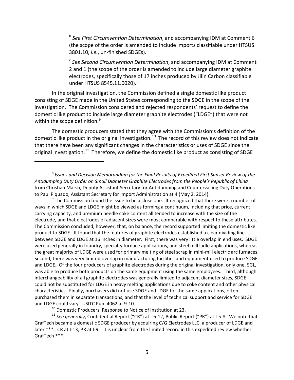<sup>b</sup> *See First Circumvention Determination*, and accompanying IDM at Comment 6 (the scope of the order is amended to include imports classifiable under HTSUS 3801.10, *i.e.*, un-finished SDGEs).

<sup>c</sup> *See Second Circumvention Determination*, and accompanying IDM at Comment 2 and 1 (the scope of the order is amended to include large diameter graphite electrodes, specifically those of 17 inches produced by Jilin Carbon classifiable under HTSUS [8](#page-10-0)545.11.0020).<sup>8</sup>

In the original investigation, the Commission defined a single domestic like product consisting of SDGE made in the United States corresponding to the SDGE in the scope of the investigation. The Commission considered and rejected respondents' request to define the domestic like product to include large diameter graphite electrodes ("LDGE") that were not within the scope definition.<sup>[9](#page-10-1)</sup>

The domestic producers stated that they agree with the Commission's definition of the domestic like product in the original investigation.<sup>10</sup> The record of this review does not indicate that there have been any significant changes in the characteristics or uses of SDGE since the original investigation.<sup>[11](#page-10-3)</sup> Therefore, we define the domestic like product as consisting of SDGE

<span id="page-10-1"></span> $9$  The Commission found the issue to be a close one. It recognized that there were a number of ways in which SDGE and LDGE might be viewed as forming a continuum, including that price, current carrying capacity, and premium needle coke content all tended to increase with the size of the electrode, and that electrodes of adjacent sizes were most comparable with respect to these attributes. The Commission concluded, however, that, on balance, the record supported limiting the domestic like product to SDGE. It found that the features of graphite electrodes established a clear dividing line between SDGE and LDGE at 16 inches in diameter. First, there was very little overlap in end uses. SDGE were used generally in foundry, specialty furnace applications, and steel mill ladle applications, whereas the great majority of LDGE were used for primary melting of steel scrap in mini-mill electric arc furnaces. Second, there was very limited overlap in manufacturing facilities and equipment used to produce SDGE and LDGE. Of the four producers of graphite electrodes during the original investigation, only one, SGL, was able to produce both products on the same equipment using the same employees. Third, although interchangeability of all graphite electrodes was generally limited to adjacent diameter sizes, SDGE could not be substituted for LDGE in heavy melting applications due to coke content and other physical characteristics. Finally, purchasers did not use SDGE and LDGE for the same applications, often purchased them in separate transactions, and that the level of technical support and service for SDGE and LDGE could vary. USITC Pub. 4062 at 9-10.

 $10$  Domestic Producers' Response to Notice of Institution at 23.

 $\overline{a}$ 

<span id="page-10-3"></span><span id="page-10-2"></span><sup>11</sup> See generally, Confidential Report ("CR") at I-6-12, Public Report ("PR") at I-5-8. We note that GrafTech became a domestic SDGE producer by acquiring C/G Electrodes LLC, a producer of LDGE and later \*\*\*. CR at I-13, PR at I-9. It is unclear from the limited record in this expedited review whether GrafTech \*\*\*.

<span id="page-10-0"></span><sup>8</sup> *Issues and Decision Memorandum for the Final Results of Expedited First Sunset Review of the Antidumping Duty Order on Small Diameter Graphite Electrodes from the People's Republic of China* from Christian Marsh, Deputy Assistant Secretary for Antidumping and Countervailing Duty Operations to Paul Piquado, Assistant Secretary for Import Administration at 4 (May 2, 2014).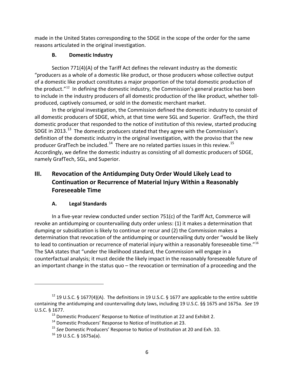made in the United States corresponding to the SDGE in the scope of the order for the same reasons articulated in the original investigation.

# **B. Domestic Industry**

Section 771(4)(A) of the Tariff Act defines the relevant industry as the domestic "producers as a whole of a domestic like product, or those producers whose collective output of a domestic like product constitutes a major proportion of the total domestic production of the product. $12$  In defining the domestic industry, the Commission's general practice has been to include in the industry producers of all domestic production of the like product, whether tollproduced, captively consumed, or sold in the domestic merchant market.

In the original investigation, the Commission defined the domestic industry to consist of all domestic producers of SDGE, which, at that time were SGL and Superior. GrafTech, the third domestic producer that responded to the notice of institution of this review, started producing SDGE in 2013.<sup>13</sup> The domestic producers stated that they agree with the Commission's definition of the domestic industry in the original investigation, with the proviso that the new producer GrafTech be included.<sup>14</sup> There are no related parties issues in this review.<sup>15</sup> Accordingly, we define the domestic industry as consisting of all domestic producers of SDGE, namely GrafTech, SGL, and Superior.

# **III. Revocation of the Antidumping Duty Order Would Likely Lead to Continuation or Recurrence of Material Injury Within a Reasonably Foreseeable Time**

# **A. Legal Standards**

In a five-year review conducted under section 751(c) of the Tariff Act, Commerce will revoke an antidumping or countervailing duty order unless: (1) it makes a determination that dumping or subsidization is likely to continue or recur and (2) the Commission makes a determination that revocation of the antidumping or countervailing duty order "would be likely to lead to continuation or recurrence of material injury within a reasonably foreseeable time."<sup>16</sup> The SAA states that "under the likelihood standard, the Commission will engage in a counterfactual analysis; it must decide the likely impact in the reasonably foreseeable future of an important change in the status quo – the revocation or termination of a proceeding and the

<span id="page-11-4"></span><span id="page-11-3"></span><span id="page-11-2"></span><span id="page-11-1"></span><span id="page-11-0"></span><sup>&</sup>lt;sup>12</sup> 19 U.S.C. § 1677(4)(A). The definitions in 19 U.S.C. § 1677 are applicable to the entire subtitle containing the antidumping and countervailing duty laws, including 19 U.S.C. §§ 1675 and 1675a. *See* 19 U.S.C. § 1677.

 $13$  Domestic Producers' Response to Notice of Institution at 22 and Exhibit 2.

<sup>&</sup>lt;sup>14</sup> Domestic Producers' Response to Notice of Institution at 23.

<sup>15</sup> *See* Domestic Producers' Response to Notice of Institution at 20 and Exh. 10.

 $16$  19 U.S.C. § 1675a(a).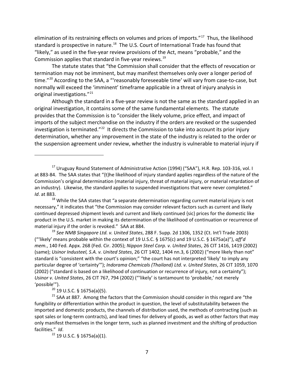elimination of its restraining effects on volumes and prices of imports."<sup>17</sup> Thus, the likelihood standard is prospective in nature. $18$  The U.S. Court of International Trade has found that "likely," as used in the five-year review provisions of the Act, means "probable," and the Commission applies that standard in five-year reviews.<sup>[19](#page-12-2)</sup>

The statute states that "the Commission shall consider that the effects of revocation or termination may not be imminent, but may manifest themselves only over a longer period of time."<sup>[20](#page-12-3)</sup> According to the SAA, a "'reasonably foreseeable time' will vary from case-to-case, but normally will exceed the 'imminent' timeframe applicable in a threat of injury analysis in original investigations."<sup>[21](#page-12-4)</sup>

Although the standard in a five-year review is not the same as the standard applied in an original investigation, it contains some of the same fundamental elements. The statute provides that the Commission is to "consider the likely volume, price effect, and impact of imports of the subject merchandise on the industry if the orders are revoked or the suspended investigation is terminated."<sup>[22](#page-12-5)</sup> It directs the Commission to take into account its prior injury determination, whether any improvement in the state of the industry is related to the order or the suspension agreement under review, whether the industry is vulnerable to material injury if

<span id="page-12-2"></span><sup>19</sup> *See NMB Singapore Ltd. v. United States*, 288 F. Supp. 2d 1306, 1352 (Ct. Int'l Trade 2003) ("'likely' means probable within the context of 19 U.S.C. § 1675(c) and 19 U.S.C. § 1675a(a)"), *aff'd mem.*, 140 Fed. Appx. 268 (Fed. Cir. 2005); *Nippon Steel Corp. v. United States*, 26 CIT 1416, 1419 (2002) (same); *Usinor Industeel, S.A. v. United States*, 26 CIT 1402, 1404 nn.3, 6 (2002) ("more likely than not" standard is "consistent with the court's opinion;" "the court has not interpreted 'likely' to imply any particular degree of 'certainty'"); *Indorama Chemicals (Thailand) Ltd. v. United States*, 26 CIT 1059, 1070 (2002) ("standard is based on a likelihood of continuation or recurrence of injury, not a certainty"); *Usinor v. United States*, 26 CIT 767, 794 (2002) ("'likely' is tantamount to 'probable,' not merely 'possible'").

 $20$  19 U.S.C. § 1675a(a)(5).

 $\overline{a}$ 

<span id="page-12-5"></span><span id="page-12-4"></span><span id="page-12-3"></span> $21$  SAA at 887. Among the factors that the Commission should consider in this regard are "the fungibility or differentiation within the product in question, the level of substitutability between the imported and domestic products, the channels of distribution used, the methods of contracting (such as spot sales or long-term contracts), and lead times for delivery of goods, as well as other factors that may only manifest themselves in the longer term, such as planned investment and the shifting of production facilities." *Id*.

<sup>22</sup> 19 U.S.C. § 1675a(a)(1).

<span id="page-12-0"></span><sup>&</sup>lt;sup>17</sup> Uruguay Round Statement of Administrative Action (1994) ("SAA"), H.R. Rep. 103-316, vol. I at 883-84. The SAA states that "{t}he likelihood of injury standard applies regardless of the nature of the Commission's original determination (material injury, threat of material injury, or material retardation of an industry). Likewise, the standard applies to suspended investigations that were never completed." *Id*. at 883.

<span id="page-12-1"></span> $18$  While the SAA states that "a separate determination regarding current material injury is not necessary," it indicates that "the Commission may consider relevant factors such as current and likely continued depressed shipment levels and current and likely continued {sic} prices for the domestic like product in the U.S. market in making its determination of the likelihood of continuation or recurrence of material injury if the order is revoked." SAA at 884.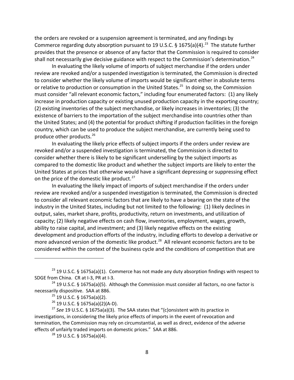the orders are revoked or a suspension agreement is terminated, and any findings by Commerce regarding duty absorption pursuant to 19 U.S.C. § 1675(a)(4).<sup>23</sup> The statute further provides that the presence or absence of any factor that the Commission is required to consider shall not necessarily give decisive guidance with respect to the Commission's determination.<sup>[24](#page-13-1)</sup>

In evaluating the likely volume of imports of subject merchandise if the orders under review are revoked and/or a suspended investigation is terminated, the Commission is directed to consider whether the likely volume of imports would be significant either in absolute terms or relative to production or consumption in the United States.<sup>[25](#page-13-2)</sup> In doing so, the Commission must consider "all relevant economic factors," including four enumerated factors: (1) any likely increase in production capacity or existing unused production capacity in the exporting country; (2) existing inventories of the subject merchandise, or likely increases in inventories; (3) the existence of barriers to the importation of the subject merchandise into countries other than the United States; and (4) the potential for product shifting if production facilities in the foreign country, which can be used to produce the subject merchandise, are currently being used to produce other products.[26](#page-13-3)

In evaluating the likely price effects of subject imports if the orders under review are revoked and/or a suspended investigation is terminated, the Commission is directed to consider whether there is likely to be significant underselling by the subject imports as compared to the domestic like product and whether the subject imports are likely to enter the United States at prices that otherwise would have a significant depressing or suppressing effect on the price of the domestic like product.<sup>[27](#page-13-4)</sup>

In evaluating the likely impact of imports of subject merchandise if the orders under review are revoked and/or a suspended investigation is terminated, the Commission is directed to consider all relevant economic factors that are likely to have a bearing on the state of the industry in the United States, including but not limited to the following: (1) likely declines in output, sales, market share, profits, productivity, return on investments, and utilization of capacity; (2) likely negative effects on cash flow, inventories, employment, wages, growth, ability to raise capital, and investment; and (3) likely negative effects on the existing development and production efforts of the industry, including efforts to develop a derivative or more advanced version of the domestic like product.<sup>28</sup> All relevant economic factors are to be considered within the context of the business cycle and the conditions of competition that are

<span id="page-13-0"></span><sup>&</sup>lt;sup>23</sup> 19 U.S.C. § 1675a(a)(1). Commerce has not made any duty absorption findings with respect to SDGE from China. CR at I-3, PR at I-3.<br><sup>24</sup> 19 U.S.C. § 1675a(a)(5). Although the Commission must consider all factors, no one factor is

<span id="page-13-2"></span><span id="page-13-1"></span>necessarily dispositive. SAA at 886.

 $25$  19 U.S.C. § 1675a(a)(2).

 $26$  19 U.S.C. § 1675a(a)(2)(A-D).

<span id="page-13-5"></span><span id="page-13-4"></span><span id="page-13-3"></span><sup>27</sup> *See* 19 U.S.C. § 1675a(a)(3). The SAA states that "{c}onsistent with its practice in investigations, in considering the likely price effects of imports in the event of revocation and termination, the Commission may rely on circumstantial, as well as direct, evidence of the adverse effects of unfairly traded imports on domestic prices." SAA at 886.

<sup>28</sup> 19 U.S.C. § 1675a(a)(4).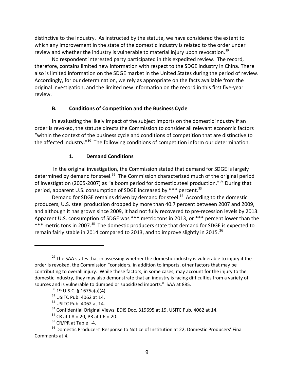distinctive to the industry. As instructed by the statute, we have considered the extent to which any improvement in the state of the domestic industry is related to the order under review and whether the industry is vulnerable to material injury upon revocation.<sup>[29](#page-14-0)</sup>

No respondent interested party participated in this expedited review. The record, therefore, contains limited new information with respect to the SDGE industry in China. There also is limited information on the SDGE market in the United States during the period of review. Accordingly, for our determination, we rely as appropriate on the facts available from the original investigation, and the limited new information on the record in this first five-year review.

# **B. Conditions of Competition and the Business Cycle**

In evaluating the likely impact of the subject imports on the domestic industry if an order is revoked, the statute directs the Commission to consider all relevant economic factors "within the context of the business cycle and conditions of competition that are distinctive to the affected industry."<sup>30</sup> The following conditions of competition inform our determination.

# **1. Demand Conditions**

In the original investigation, the Commission stated that demand for SDGE is largely determined by demand for steel.<sup>[31](#page-14-2)</sup> The Commission characterized much of the original period of investigation (2005-2007) as "a boom period for domestic steel production."<sup>[32](#page-14-3)</sup> During that period, apparent U.S. consumption of SDGE increased by \*\*\* percent.<sup>[33](#page-14-4)</sup>

Demand for SDGE remains driven by demand for steel.<sup>34</sup> According to the domestic producers, U.S. steel production dropped by more than 40.7 percent between 2007 and 2009, and although it has grown since 2009, it had not fully recovered to pre-recession levels by 2013. Apparent U.S. consumption of SDGE was \*\*\* metric tons in 2013, or \*\*\* percent lower than the \*\*\* metric tons in 2007.<sup>35</sup> The domestic producers state that demand for SDGE is expected to remain fairly stable in 2014 compared to 2013, and to improve slightly in 2015.<sup>[36](#page-14-7)</sup>

<span id="page-14-1"></span><span id="page-14-0"></span> $29$  The SAA states that in assessing whether the domestic industry is vulnerable to injury if the order is revoked, the Commission "considers, in addition to imports, other factors that may be contributing to overall injury. While these factors, in some cases, may account for the injury to the domestic industry, they may also demonstrate that an industry is facing difficulties from a variety of sources and is vulnerable to dumped or subsidized imports." SAA at 885.

 $30$  19 U.S.C. § 1675a(a)(4).

 $31$  USITC Pub. 4062 at 14.

<sup>32</sup> USITC Pub. 4062 at 14.

<sup>&</sup>lt;sup>33</sup> Confidential Original Views, EDIS Doc. 319695 at 19, USITC Pub. 4062 at 14.

<sup>&</sup>lt;sup>34</sup> CR at I-8 n.20, PR at I-6 n.20.

 $35$  CR/PR at Table I-4.

<span id="page-14-7"></span><span id="page-14-6"></span><span id="page-14-5"></span><span id="page-14-4"></span><span id="page-14-3"></span><span id="page-14-2"></span><sup>&</sup>lt;sup>36</sup> Domestic Producers' Response to Notice of Institution at 22, Domestic Producers' Final Comments at 4.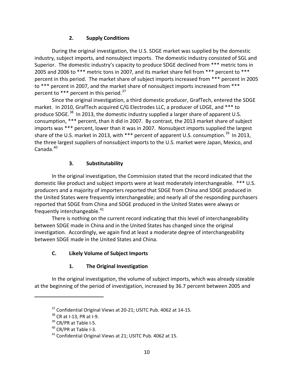# **2. Supply Conditions**

During the original investigation, the U.S. SDGE market was supplied by the domestic industry, subject imports, and nonsubject imports. The domestic industry consisted of SGL and Superior. The domestic industry's capacity to produce SDGE declined from \*\*\* metric tons in 2005 and 2006 to \*\*\* metric tons in 2007, and its market share fell from \*\*\* percent to \*\*\* percent in this period. The market share of subject imports increased from \*\*\* percent in 2005 to \*\*\* percent in 2007, and the market share of nonsubject imports increased from \*\*\* percent to  $***$  percent in this period.<sup>[37](#page-15-0)</sup>

Since the original investigation, a third domestic producer, GrafTech, entered the SDGE market. In 2010, GrafTech acquired C/G Electrodes LLC, a producer of LDGE, and \*\*\* to produce SDGE.<sup>[38](#page-15-1)</sup> In 2013, the domestic industry supplied a larger share of apparent U.S. consumption, \*\*\* percent, than it did in 2007. By contrast, the 2013 market share of subject imports was \*\*\* percent, lower than it was in 2007. Nonsubject imports supplied the largest share of the U.S. market in 2013, with \*\*\* percent of apparent U.S. consumption.<sup>39</sup> In 2013, the three largest suppliers of nonsubject imports to the U.S. market were Japan, Mexico, and  $C$ anada. $40<sub>1</sub>$  $40<sub>1</sub>$ 

# **3. Substitutability**

In the original investigation, the Commission stated that the record indicated that the domestic like product and subject imports were at least moderately interchangeable. \*\*\* U.S. producers and a majority of importers reported that SDGE from China and SDGE produced in the United States were frequently interchangeable; and nearly all of the responding purchasers reported that SDGE from China and SDGE produced in the United States were always or frequently interchangeable. $41$ 

There is nothing on the current record indicating that this level of interchangeability between SDGE made in China and in the United States has changed since the original investigation. Accordingly, we again find at least a moderate degree of interchangeability between SDGE made in the United States and China.

# **C. Likely Volume of Subject Imports**

# **1. The Original Investigation**

<span id="page-15-1"></span><span id="page-15-0"></span>In the original investigation, the volume of subject imports, which was already sizeable at the beginning of the period of investigation, increased by 36.7 percent between 2005 and

<sup>&</sup>lt;sup>37</sup> Confidential Original Views at 20-21; USITC Pub. 4062 at 14-15.

<sup>&</sup>lt;sup>38</sup> CR at I-13, PR at I-9.

<span id="page-15-2"></span> $39$  CR/PR at Table I-5.

<span id="page-15-3"></span><sup>40</sup> CR/PR at Table I-3.

<span id="page-15-4"></span><sup>41</sup> Confidential Original Views at 21; USITC Pub. 4062 at 15.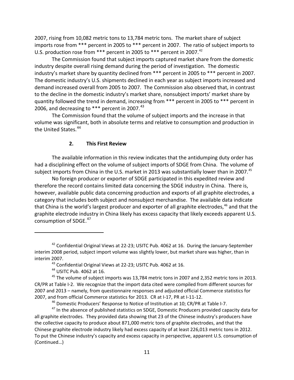2007, rising from 10,082 metric tons to 13,784 metric tons. The market share of subject imports rose from \*\*\* percent in 2005 to \*\*\* percent in 2007. The ratio of subject imports to U.S. production rose from \*\*\* percent in 2005 to \*\*\* percent in 2007.<sup>[42](#page-16-0)</sup>

The Commission found that subject imports captured market share from the domestic industry despite overall rising demand during the period of investigation. The domestic industry's market share by quantity declined from \*\*\* percent in 2005 to \*\*\* percent in 2007. The domestic industry's U.S. shipments declined in each year as subject imports increased and demand increased overall from 2005 to 2007. The Commission also observed that, in contrast to the decline in the domestic industry's market share, nonsubject imports' market share by quantity followed the trend in demand, increasing from \*\*\* percent in 2005 to \*\*\* percent in 2006, and decreasing to \*\*\* percent in 2007. $^{43}$  $^{43}$  $^{43}$ 

The Commission found that the volume of subject imports and the increase in that volume was significant, both in absolute terms and relative to consumption and production in the United States.<sup>[44](#page-16-2)</sup>

## **2. This First Review**

The available information in this review indicates that the antidumping duty order has had a disciplining effect on the volume of subject imports of SDGE from China. The volume of subject imports from China in the U.S. market in 2013 was substantially lower than in 2007.<sup>[45](#page-16-3)</sup>

No foreign producer or exporter of SDGE participated in this expedited review and therefore the record contains limited data concerning the SDGE industry in China. There is, however, available public data concerning production and exports of all graphite electrodes, a category that includes both subject and nonsubject merchandise. The available data indicate that China is the world's largest producer and exporter of all graphite electrodes,<sup>[46](#page-16-4)</sup> and that the graphite electrode industry in China likely has excess capacity that likely exceeds apparent U.S. consumption of SDGE. [47](#page-16-5)

<span id="page-16-0"></span> $42$  Confidential Original Views at 22-23; USITC Pub. 4062 at 16. During the January-September interim 2008 period, subject import volume was slightly lower, but market share was higher, than in interim 2007.

<sup>43</sup> Confidential Original Views at 22-23; USITC Pub. 4062 at 16.

<sup>44</sup> USITC Pub. 4062 at 16.

<span id="page-16-3"></span><span id="page-16-2"></span><span id="page-16-1"></span> $45$  The volume of subject imports was 13,784 metric tons in 2007 and 2,352 metric tons in 2013. CR/PR at Table I-2. We recognize that the import data cited were compiled from different sources for 2007 and 2013 – namely, from questionnaire responses and adjusted official Commerce statistics for 2007, and from official Commerce statistics for 2013. CR at I-17, PR at I-11-12.

<sup>&</sup>lt;sup>46</sup> Domestic Producers' Response to Notice of Institution at 10; CR/PR at Table I-7.

<span id="page-16-5"></span><span id="page-16-4"></span><sup>&</sup>lt;sup>47</sup> In the absence of published statistics on SDGE, Domestic Producers provided capacity data for all graphite electrodes. They provided data showing that 23 of the Chinese industry's producers have the collective capacity to produce about 871,000 metric tons of graphite electrodes, and that the Chinese graphite electrode industry likely had excess capacity of at least 226,013 metric tons in 2012. To put the Chinese industry's capacity and excess capacity in perspective, apparent U.S. consumption of (Continued…)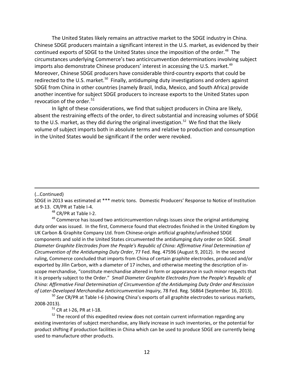The United States likely remains an attractive market to the SDGE industry in China. Chinese SDGE producers maintain a significant interest in the U.S. market, as evidenced by their continued exports of SDGE to the United States since the imposition of the order. [48](#page-17-0) The circumstances underlying Commerce's two anticircumvention determinations involving subject imports also demonstrate Chinese producers' interest in accessing the U.S. market.<sup>[49](#page-17-1)</sup> Moreover, Chinese SDGE producers have considerable third-country exports that could be redirected to the U.S. market.<sup>[50](#page-17-2)</sup> Finally, antidumping duty investigations and orders against SDGE from China in other countries (namely Brazil, India, Mexico, and South Africa) provide another incentive for subject SDGE producers to increase exports to the United States upon revocation of the order. $51$ 

In light of these considerations, we find that subject producers in China are likely, absent the restraining effects of the order, to direct substantial and increasing volumes of SDGE to the U.S. market, as they did during the original investigation.<sup>[52](#page-17-4)</sup> We find that the likely volume of subject imports both in absolute terms and relative to production and consumption in the United States would be significant if the order were revoked.

#### (…Continued)

 $\overline{a}$ 

SDGE in 2013 was estimated at \*\*\* metric tons. Domestic Producers' Response to Notice of Institution at 9-13. CR/PR at Table I-4.

<sup>48</sup> CR/PR at Table I-2.

<span id="page-17-1"></span><span id="page-17-0"></span> $49$  Commerce has issued two anticircumvention rulings issues since the original antidumping duty order was issued. In the first, Commerce found that electrodes finished in the United Kingdom by UK Carbon & Graphite Company Ltd. from Chinese-origin artificial graphite/unfinished SDGE components and sold in the United States circumvented the antidumping duty order on SDGE. *Small Diameter Graphite Electrodes from the People's Republic of China: Affirmative Final Determination of Circumvention of the Antidumping Duty Order*, 77 Fed. Reg. 47596 (August 9, 2012). In the second ruling, Commerce concluded that imports from China of certain graphite electrodes, produced and/or exported by Jilin Carbon, with a diameter of 17 inches, and otherwise meeting the description of inscope merchandise, "constitute merchandise altered in form or appearance in such minor respects that it is properly subject to the Order." *Small Diameter Graphite Electrodes from the People's Republic of China: Affirmative Final Determination of Circumvention of the Antidumping Duty Order and Rescission of Later-Developed Merchandise Anticircumvention Inquiry*, 78 Fed. Reg. 56864 (September 16, 2013).

<span id="page-17-2"></span><sup>50</sup> *See* CR/PR at Table I-6 (showing China's exports of all graphite electrodes to various markets, 2008-2013).

 $51$  CR at I-26, PR at I-18.

<span id="page-17-4"></span><span id="page-17-3"></span> $52$  The record of this expedited review does not contain current information regarding any existing inventories of subject merchandise, any likely increase in such inventories, or the potential for product shifting if production facilities in China which can be used to produce SDGE are currently being used to manufacture other products.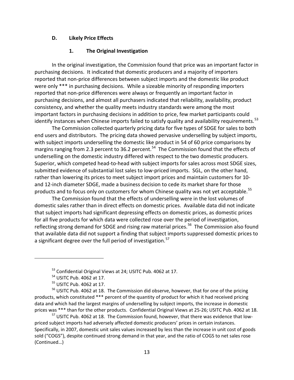## **D. Likely Price Effects**

## **1. The Original Investigation**

In the original investigation, the Commission found that price was an important factor in purchasing decisions. It indicated that domestic producers and a majority of importers reported that non-price differences between subject imports and the domestic like product were only \*\*\* in purchasing decisions. While a sizeable minority of responding importers reported that non-price differences were always or frequently an important factor in purchasing decisions, and almost all purchasers indicated that reliability, availability, product consistency, and whether the quality meets industry standards were among the most important factors in purchasing decisions in addition to price, few market participants could identify instances when Chinese imports failed to satisfy quality and availability requirements.<sup>[53](#page-18-0)</sup>

The Commission collected quarterly pricing data for five types of SDGE for sales to both end users and distributors. The pricing data showed pervasive underselling by subject imports, with subject imports underselling the domestic like product in 54 of 60 price comparisons by margins ranging from 2.3 percent to 36.2 percent.<sup>[54](#page-18-1)</sup> The Commission found that the effects of underselling on the domestic industry differed with respect to the two domestic producers. Superior, which competed head-to-head with subject imports for sales across most SDGE sizes, submitted evidence of substantial lost sales to low-priced imports. SGL, on the other hand, rather than lowering its prices to meet subject import prices and maintain customers for 10 and 12-inch diameter SDGE, made a business decision to cede its market share for those products and to focus only on customers for whom Chinese quality was not yet acceptable.<sup>55</sup>

The Commission found that the effects of underselling were in the lost volumes of domestic sales rather than in direct effects on domestic prices. Available data did not indicate that subject imports had significant depressing effects on domestic prices, as domestic prices for all five products for which data were collected rose over the period of investigation, reflecting strong demand for SDGE and rising raw material prices.<sup>[56](#page-18-3)</sup> The Commission also found that available data did not support a finding that subject imports suppressed domestic prices to a significant degree over the full period of investigation.<sup>[57](#page-18-4)</sup>

<span id="page-18-0"></span> $\overline{a}$ 

<span id="page-18-4"></span><sup>57</sup> USITC Pub. 4062 at 18. The Commission found, however, that there was evidence that lowpriced subject imports had adversely affected domestic producers' prices in certain instances. Specifically, in 2007, domestic unit sales values increased by less than the increase in unit cost of goods sold ("COGS"), despite continued strong demand in that year, and the ratio of COGS to net sales rose (Continued…)

<sup>53</sup> Confidential Original Views at 24; USITC Pub. 4062 at 17.

<sup>54</sup> USITC Pub. 4062 at 17.

<sup>55</sup> USITC Pub. 4062 at 17.

<span id="page-18-3"></span><span id="page-18-2"></span><span id="page-18-1"></span><sup>&</sup>lt;sup>56</sup> USITC Pub. 4062 at 18. The Commission did observe, however, that for one of the pricing products, which constituted \*\*\* percent of the quantity of product for which it had received pricing data and which had the largest margins of underselling by subject imports, the increase in domestic prices was \*\*\* than for the other products. Confidential Original Views at 25-26; USITC Pub. 4062 at 18.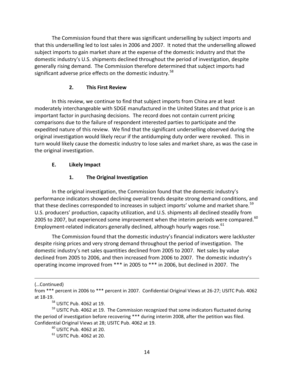The Commission found that there was significant underselling by subject imports and that this underselling led to lost sales in 2006 and 2007. It noted that the underselling allowed subject imports to gain market share at the expense of the domestic industry and that the domestic industry's U.S. shipments declined throughout the period of investigation, despite generally rising demand. The Commission therefore determined that subject imports had significant adverse price effects on the domestic industry.<sup>[58](#page-19-0)</sup>

# **2. This First Review**

In this review, we continue to find that subject imports from China are at least moderately interchangeable with SDGE manufactured in the United States and that price is an important factor in purchasing decisions. The record does not contain current pricing comparisons due to the failure of respondent interested parties to participate and the expedited nature of this review. We find that the significant underselling observed during the original investigation would likely recur if the antidumping duty order were revoked. This in turn would likely cause the domestic industry to lose sales and market share, as was the case in the original investigation.

# **E. Likely Impact**

# **1. The Original Investigation**

In the original investigation, the Commission found that the domestic industry's performance indicators showed declining overall trends despite strong demand conditions, and that these declines corresponded to increases in subject imports' volume and market share.<sup>[59](#page-19-1)</sup> U.S. producers' production, capacity utilization, and U.S. shipments all declined steadily from 2005 to 2007, but experienced some improvement when the interim periods were compared. $^{60}$  $^{60}$  $^{60}$ Employment-related indicators generally declined, although hourly wages rose.<sup>[61](#page-19-3)</sup>

The Commission found that the domestic industry's financial indicators were lackluster despite rising prices and very strong demand throughout the period of investigation. The domestic industry's net sales quantities declined from 2005 to 2007. Net sales by value declined from 2005 to 2006, and then increased from 2006 to 2007. The domestic industry's operating income improved from \*\*\* in 2005 to \*\*\* in 2006, but declined in 2007. The

(…Continued)

from \*\*\* percent in 2006 to \*\*\* percent in 2007. Confidential Original Views at 26-27; USITC Pub. 4062 at 18-19.

<sup>58</sup> USITC Pub. 4062 at 19.

<span id="page-19-3"></span><span id="page-19-2"></span><span id="page-19-1"></span><span id="page-19-0"></span> $59$  USITC Pub. 4062 at 19. The Commission recognized that some indicators fluctuated during the period of investigation before recovering \*\*\* during interim 2008, after the petition was filed. Confidential Original Views at 28; USITC Pub. 4062 at 19.

 $^{60}$  USITC Pub. 4062 at 20.

 $61$  USITC Pub. 4062 at 20.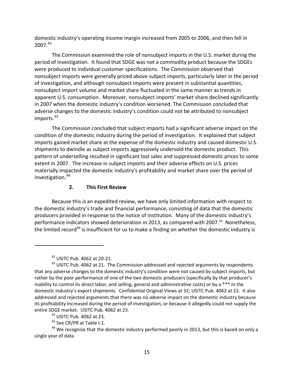domestic industry's operating income margin increased from 2005 to 2006, and then fell in 2007.[62](#page-20-0)

The Commission examined the role of nonsubject imports in the U.S. market during the period of investigation. It found that SDGE was not a commodity product because the SDGEs were produced to individual customer specifications. The Commission observed that nonsubject imports were generally priced above subject imports, particularly later in the period of investigation, and although nonsubject imports were present in substantial quantities, nonsubject import volume and market share fluctuated in the same manner as trends in apparent U.S. consumption. Moreover, nonsubject imports' market share declined significantly in 2007 when the domestic industry's condition worsened. The Commission concluded that adverse changes to the domestic industry's condition could not be attributed to nonsubject imports.<sup>[63](#page-20-1)</sup>

The Commission concluded that subject imports had a significant adverse impact on the condition of the domestic industry during the period of investigation. It explained that subject imports gained market share at the expense of the domestic industry and caused domestic U.S. shipments to dwindle as subject imports aggressively undersold the domestic product. This pattern of underselling resulted in significant lost sales and suppressed domestic prices to some extent in 2007. The increase in subject imports and their adverse effects on U.S. prices materially impacted the domestic industry's profitability and market share over the period of investigation.<sup>[64](#page-20-2)</sup>

## **2. This First Review**

Because this is an expedited review, we have only limited information with respect to the domestic industry's trade and financial performance, consisting of data that the domestic producers provided in response to the notice of institution. Many of the domestic industry's performance indicators showed deterioration in 2013, as compared with 2007.<sup>65</sup> Nonetheless, the limited record<sup>[66](#page-20-4)</sup> is insufficient for us to make a finding on whether the domestic industry is

 $62$  USITC Pub. 4062 at 20-21.

<span id="page-20-1"></span><span id="page-20-0"></span> $<sup>63</sup>$  USITC Pub. 4062 at 21. The Commission addressed and rejected arguments by respondents</sup> that any adverse changes to the domestic industry's condition were not caused by subject imports, but rather by the poor performance of one of the two domestic producers (specifically by that producer's inability to control its direct labor, and selling, general and administrative costs) or by a \*\*\* in the domestic industry's export shipments. Confidential Original Views at 32; USITC Pub. 4062 at 22. It also addressed and rejected arguments that there was no adverse impact on the domestic industry because its profitability increased during the period of investigation, or because it allegedly could not supply the entire SDGE market. USITC Pub. 4062 at 23.

<sup>&</sup>lt;sup>64</sup> USITC Pub. 4062 at 23.

 $65$  See CR/PR at Table I-1.

<span id="page-20-4"></span><span id="page-20-3"></span><span id="page-20-2"></span><sup>&</sup>lt;sup>66</sup> We recognize that the domestic industry performed poorly in 2013, but this is based on only a single year of data.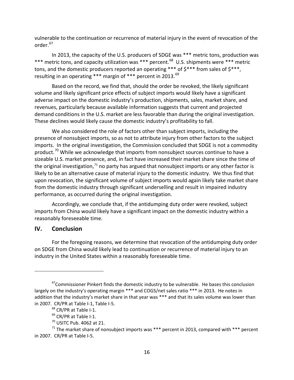vulnerable to the continuation or recurrence of material injury in the event of revocation of the order.<sup>[67](#page-21-0)</sup>

In 2013, the capacity of the U.S. producers of SDGE was \*\*\* metric tons, production was \*\*\* metric tons, and capacity utilization was \*\*\* percent.<sup>68</sup> U.S. shipments were \*\*\* metric tons, and the domestic producers reported an operating \*\*\* of  $5***$  from sales of  $5***$ , resulting in an operating \*\*\* margin of \*\*\* percent in 2013.<sup>[69](#page-21-2)</sup>

Based on the record, we find that, should the order be revoked, the likely significant volume and likely significant price effects of subject imports would likely have a significant adverse impact on the domestic industry's production, shipments, sales, market share, and revenues, particularly because available information suggests that current and projected demand conditions in the U.S. market are less favorable than during the original investigation. These declines would likely cause the domestic industry's profitability to fall.

We also considered the role of factors other than subject imports, including the presence of nonsubject imports, so as not to attribute injury from other factors to the subject imports. In the original investigation, the Commission concluded that SDGE is not a commodity product.<sup>[70](#page-21-3)</sup> While we acknowledge that imports from nonsubject sources continue to have a sizeable U.S. market presence, and, in fact have increased their market share since the time of the original investigation,<sup>[71](#page-21-4)</sup> no party has argued that nonsubject imports or any other factor is likely to be an alternative cause of material injury to the domestic industry. We thus find that upon revocation, the significant volume of subject imports would again likely take market share from the domestic industry through significant underselling and result in impaired industry performance, as occurred during the original investigation.

Accordingly, we conclude that, if the antidumping duty order were revoked, subject imports from China would likely have a significant impact on the domestic industry within a reasonably foreseeable time.

# **IV. Conclusion**

 $\overline{a}$ 

For the foregoing reasons, we determine that revocation of the antidumping duty order on SDGE from China would likely lead to continuation or recurrence of material injury to an industry in the United States within a reasonably foreseeable time.

<span id="page-21-0"></span> $67$ Commissioner Pinkert finds the domestic industry to be vulnerable. He bases this conclusion largely on the industry's operating margin \*\*\* and COGS/net sales ratio \*\*\* in 2013. He notes in addition that the industry's market share in that year was \*\*\* and that its sales volume was lower than in 2007. CR/PR at Table I-1, Table I-5.

<sup>&</sup>lt;sup>68</sup> CR/PR at Table I-1.

 $69$  CR/PR at Table I-1.

 $70$  USITC Pub. 4062 at 21.

<span id="page-21-4"></span><span id="page-21-3"></span><span id="page-21-2"></span><span id="page-21-1"></span> $71$  The market share of nonsubject imports was \*\*\* percent in 2013, compared with \*\*\* percent in 2007. CR/PR at Table I-5.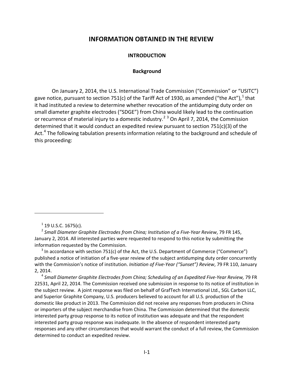# **I. INFORMATION OBTAINED IN THE REVIEW**

### **INTRODUCTION**

### **Background**

<span id="page-22-2"></span><span id="page-22-1"></span><span id="page-22-0"></span>On January 2, 2014, the U.S. International Trade Commission ("Commission" or "USITC") gave notice, pursuant to section 75[1](#page-22-3)(c) of the Tariff Act of 1930, as amended ("the Act"),  $^1$  that it had instituted a review to determine whether revocation of the antidumping duty order on small diameter graphite electrodes ("SDGE") from China would likely lead to the continuation or recurrence of material injury to a domestic industry.<sup>[2](#page-22-4) [3](#page-22-5)</sup> On April 7, 2014, the Commission determined that it would conduct an expedited review pursuant to section 751(c)(3) of the Act.<sup>[4](#page-22-6)</sup> The following tabulation presents information relating to the background and schedule of this proceeding:

 $\overline{a}$ 

<span id="page-22-5"></span> $3$  In accordance with section 751(c) of the Act, the U.S. Department of Commerce ("Commerce") published a notice of initiation of a five-year review of the subject antidumping duty order concurrently with the Commission's notice of institution. *Initiation of Five-Year ("Sunset") Review*, 79 FR 110, January 2, 2014.

<span id="page-22-6"></span><sup>4</sup> *Small Diameter Graphite Electrodes from China; Scheduling of an Expedited Five-Year Review,* 79 FR 22531, April 22, 2014. The Commission received one submission in response to its notice of institution in the subject review. A joint response was filed on behalf of GrafTech International Ltd., SGL Carbon LLC, and Superior Graphite Company, U.S. producers believed to account for all U.S. production of the domestic like product in 2013. The Commission did not receive any responses from producers in China or importers of the subject merchandise from China. The Commission determined that the domestic interested party group response to its notice of institution was adequate and that the respondent interested party group response was inadequate. In the absence of respondent interested party responses and any other circumstances that would warrant the conduct of a full review, the Commission determined to conduct an expedited review.

 $1$  19 U.S.C. 1675(c).

<span id="page-22-4"></span><span id="page-22-3"></span><sup>2</sup> *Small Diameter Graphite Electrodes from China; Institution of a Five-Year Review*, 79 FR 145, January 2, 2014. All interested parties were requested to respond to this notice by submitting the information requested by the Commission.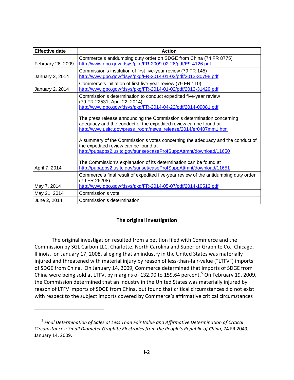| <b>Effective date</b> | <b>Action</b>                                                                                                                                                                                                 |
|-----------------------|---------------------------------------------------------------------------------------------------------------------------------------------------------------------------------------------------------------|
| February 26, 2009     | Commerce's antidumping duty order on SDGE from China (74 FR 8775)<br>http://www.gpo.gov/fdsys/pkg/FR-2009-02-26/pdf/E9-4126.pdf                                                                               |
| January 2, 2014       | Commission's institution of first five-year review (79 FR 145)<br>http://www.gpo.gov/fdsys/pkg/FR-2014-01-02/pdf/2013-30798.pdf                                                                               |
| January 2, 2014       | Commerce's initiation of first five-year review (79 FR 110)<br>http://www.gpo.gov/fdsys/pkg/FR-2014-01-02/pdf/2013-31429.pdf                                                                                  |
|                       | Commission's determination to conduct expedited five-year review<br>(79 FR 22531, April 22, 2014)<br>http://www.gpo.gov/fdsys/pkg/FR-2014-04-22/pdf/2014-09081.pdf                                            |
|                       | The press release announcing the Commission's determination concerning<br>adequacy and the conduct of the expedited review can be found at<br>http://www.usitc.gov/press_room/news_release/2014/er0407mm1.htm |
|                       | A summary of the Commission's votes concerning the adequacy and the conduct of<br>the expedited review can be found at<br>http://pubapps2.usitc.gov/sunset/caseProfSuppAttmnt/download/11650                  |
| April 7, 2014         | The Commission's explanation of its determination can be found at<br>http://pubapps2.usitc.gov/sunset/caseProfSuppAttmnt/download/11651                                                                       |
| May 7, 2014           | Commerce's final result of expedited five-year review of the antidumping duty order<br>(79 FR 26208)<br>http://www.gpo.gov/fdsys/pkg/FR-2014-05-07/pdf/2014-10513.pdf                                         |
| May 21, 2014          | Commission's vote                                                                                                                                                                                             |
| June 2, 2014          | Commission's determination                                                                                                                                                                                    |

# **The original investigation**

<span id="page-23-0"></span>The original investigation resulted from a petition filed with Commerce and the Commission by SGL Carbon LLC, Charlotte, North Carolina and Superior Graphite Co., Chicago, Illinois, on January 17, 2008, alleging that an industry in the United States was materially injured and threatened with material injury by reason of less-than-fair-value ("LTFV") imports of SDGE from China. On January 14, 2009, Commerce determined that imports of SDGE from China were being sold at LTFV, by margins of 132.90 to 1[5](#page-23-1)9.64 percent.<sup>5</sup> On February 19, 2009, the Commission determined that an industry in the United States was materially injured by reason of LTFV imports of SDGE from China, but found that critical circumstances did not exist with respect to the subject imports covered by Commerce's affirmative critical circumstances

<span id="page-23-1"></span><sup>5</sup> *Final Determination of Sales at Less Than Fair Value and Affirmative Determination of Critical Circumstances: Small Diameter Graphite Electrodes from the People's Republic of China,* 74 FR 2049, January 14, 2009.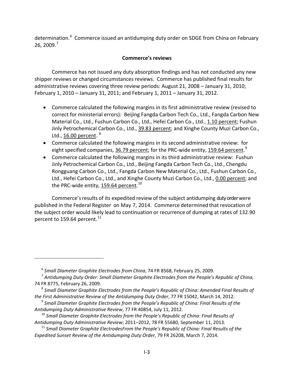determination.<sup>[6](#page-24-1)</sup> Commerce issued an antidumping duty order on SDGE from China on February 26, 2009.[7](#page-24-2)

# **Commerce's reviews**

<span id="page-24-0"></span>Commerce has not issued any duty absorption findings and has not conducted any new shipper reviews or changed circumstances reviews. Commerce has published final results for administrative reviews covering three review periods: August 21, 2008 – January 31, 2010; February 1, 2010 – January 31, 2011; and February 1, 2011 – January 31, 2012.

- Commerce calculated the following margins in its first administrative review (revised to correct for ministerial errors): Beijing Fangda Carbon Tech Co., Ltd., Fangda Carbon New Material Co., Ltd., Fushun Carbon Co., Ltd., Hefei Carbon Co., Ltd., 1.10 percent; Fushun Jinly Petrochemical Carbon Co., Ltd., 39.83 percent; and Xinghe County Muzi Carbon Co., Ltd., 16.00 percent.  $8$
- Commerce calculated the following margins in its second administrative review: for eight specified companies, <u>36.7[9](#page-24-4) percent</u>; for the PRC-wide entity, <u>159.64 percent.</u><sup>9</sup>
- Commerce calculated the following margins in its third administrative review: Fushun Jinly Petrochemical Carbon Co., Ltd., Beijing Fangda Carbon Tech Co., Ltd., Chengdu Rongguang Carbon Co., Ltd., Fangda Carbon New Material Co., Ltd., Fushun Carbon Co., Ltd., Hefei Carbon Co., Ltd., and Xinghe County Muzi Carbon Co., Ltd., 0.00 percent; and the PRC-wide entity, <u>159.64 percent</u>. <sup>[10](#page-24-5)</sup>

Commerce'sresults of its expedited review of the subject antidumping duty order were published in the Federal Register on May 7, 2014. Commerce determined that revocation of the subject order would likely lead to continuation or recurrence of dumping at rates of 132.90 percent to 159.64 percent.<sup>[11](#page-24-6)</sup>

<sup>6</sup> *Small Diameter Graphite Electrodes from China*, 74 FR 8568, February 25, 2009.

<span id="page-24-2"></span><span id="page-24-1"></span><sup>7</sup> *Antidumping Duty Order: Small Diameter Graphite Electrodes from the People's Republic of China*, 74 FR 8775, February 26, 2009.

<span id="page-24-3"></span><sup>8</sup> *Small Diameter Graphite Electrodes from the People's Republic of China: Amended Final Results of the First Administrative Review of the Antidumping Duty Order*, 77 FR 15042, March 14, 2012.

<span id="page-24-4"></span><sup>9</sup> *Small Diameter Graphite Electrodes from the People's Republic of China: Final Results of the Antidumping Duty Administrative Review*, 77 FR 40854, July 11, 2012.

<span id="page-24-5"></span><sup>10</sup> *Small Diameter Graphite Electrodes from the People's Republic of China: Final Results of Antidumping Duty Administrative Review*; 2011–2012, 78 FR 55680, September 11, 2013.

<span id="page-24-6"></span><sup>11</sup> *Small Diameter Graphite ElectrodesFrom the People's Republic of China: Final Results of the Expedited Sunset Review of the Antidumping Duty Order*, 79 FR 26208, March 7, 2014.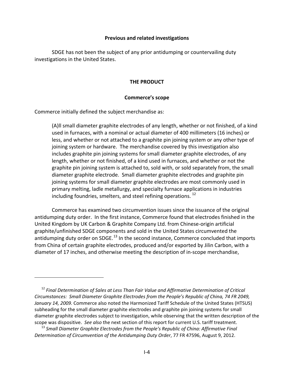## **Previous and related investigations**

<span id="page-25-1"></span><span id="page-25-0"></span>SDGE has not been the subject of any prior antidumping or countervailing duty investigations in the United States.

## **THE PRODUCT**

## **Commerce's scope**

<span id="page-25-2"></span>Commerce initially defined the subject merchandise as:

 $\overline{a}$ 

(A)ll small diameter graphite electrodes of any length, whether or not finished, of a kind used in furnaces, with a nominal or actual diameter of 400 millimeters (16 inches) or less, and whether or not attached to a graphite pin joining system or any other type of joining system or hardware. The merchandise covered by this investigation also includes graphite pin joining systems for small diameter graphite electrodes, of any length, whether or not finished, of a kind used in furnaces, and whether or not the graphite pin joining system is attached to, sold with, or sold separately from, the small diameter graphite electrode. Small diameter graphite electrodes and graphite pin joining systems for small diameter graphite electrodes are most commonly used in primary melting, ladle metallurgy, and specialty furnace applications in industries including foundries, smelters, and steel refining operations.<sup>[12](#page-25-3)</sup>

Commerce has examined two circumvention issues since the issuance of the original antidumping duty order. In the first instance, Commerce found that electrodes finished in the United Kingdom by UK Carbon & Graphite Company Ltd. from Chinese-origin artificial graphite/unfinished SDGE components and sold in the United States circumvented the antidumping duty order on SDGE.<sup>[13](#page-25-4)</sup> In the second instance, Commerce concluded that imports from China of certain graphite electrodes, produced and/or exported by Jilin Carbon, with a diameter of 17 inches, and otherwise meeting the description of in-scope merchandise,

<span id="page-25-3"></span><sup>12</sup> *Final Determination of Sales at Less Than Fair Value and Affirmative Determination of Critical Circumstances: Small Diameter Graphite Electrodes from the People's Republic of China, 74 FR 2049, January 14, 2009.* Commerce also noted the Harmonized Tariff Schedule of the United States (HTSUS) subheading for the small diameter graphite electrodes and graphite pin joining systems for small diameter graphite electrodes subject to investigation, while observing that the written description of the scope was dispositive. *See also* the next section of this report for current U.S. tariff treatment.

<span id="page-25-4"></span><sup>13</sup> *Small Diameter Graphite Electrodes from the People's Republic of China: Affirmative Final Determination of Circumvention of the Antidumping Duty Order*, 77 FR 47596, August 9, 2012.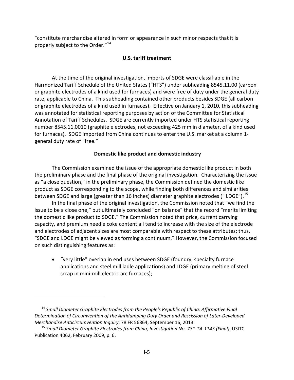<span id="page-26-0"></span>"constitute merchandise altered in form or appearance in such minor respects that it is properly subject to the Order."<sup>[14](#page-26-2)</sup>

## **U.S. tariff treatment**

At the time of the original investigation, imports of SDGE were classifiable in the Harmonized Tariff Schedule of the United States ("HTS") under subheading 8545.11.00 (carbon or graphite electrodes of a kind used for furnaces) and were free of duty under the general duty rate, applicable to China. This subheading contained other products besides SDGE (all carbon or graphite electrodes of a kind used in furnaces). Effective on January 1, 2010, this subheading was annotated for statistical reporting purposes by action of the Committee for Statistical Annotation of Tariff Schedules. SDGE are currently imported under HTS statistical reporting number 8545.11.0010 (graphite electrodes, not exceeding 425 mm in diameter, of a kind used for furnaces). SDGE imported from China continues to enter the U.S. market at a column 1 general duty rate of "free."

## <span id="page-26-1"></span>**Domestic like product and domestic industry**

The Commission examined the issue of the appropriate domestic like product in both the preliminary phase and the final phase of the original investigation. Characterizing the issue as "a close question," in the preliminary phase, the Commission defined the domestic like product as SDGE corresponding to the scope, while finding both differences and similarities between SDGE and large (greater than 16 inches) diameter graphite electrodes (" LDGE").<sup>[15](#page-26-3)</sup>

In the final phase of the original investigation, the Commission noted that "we find the issue to be a close one," but ultimately concluded "on balance" that the record "merits limiting the domestic like product to SDGE." The Commission noted that price, current carrying capacity, and premium needle coke content all tend to increase with the size of the electrode and electrodes of adjacent sizes are most comparable with respect to these attributes; thus, "SDGE and LDGE might be viewed as forming a continuum." However, the Commission focused on such distinguishing features as:

• "very little" overlap in end uses between SDGE (foundry, specialty furnace applications and steel mill ladle applications) and LDGE (primary melting of steel scrap in mini-mill electric arc furnaces);

<span id="page-26-2"></span><sup>14</sup> *Small Diameter Graphite Electrodes from the People's Republic of China: Affirmative Final Determination of Circumvention of the Antidumping Duty Order and Rescission of Later-Developed Merchandise Anticircumvention Inquiry*, 78 FR 56864, September 16, 2013.

<span id="page-26-3"></span><sup>15</sup> *Small Diameter Graphite Electrodes from China, Investigation No. 731-TA-1143 (Final)*, USITC Publication 4062, February 2009, p. 6.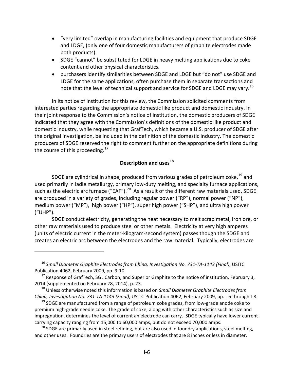- "very limited" overlap in manufacturing facilities and equipment that produce SDGE and LDGE, (only one of four domestic manufacturers of graphite electrodes made both products).
- SDGE "cannot" be substituted for LDGE in heavy melting applications due to coke content and other physical characteristics.
- purchasers identify similarities between SDGE and LDGE but "do not" use SDGE and LDGE for the same applications, often purchase them in separate transactions and note that the level of technical support and service for SDGE and LDGE may vary.<sup>[16](#page-27-1)</sup>

In its notice of institution for this review, the Commission solicited comments from interested parties regarding the appropriate domestic like product and domestic industry. In their joint response to the Commission's notice of institution, the domestic producers of SDGE indicated that they agree with the Commission's definitions of the domestic like product and domestic industry, while requesting that GrafTech, which became a U.S. producer of SDGE after the original investigation, be included in the definition of the domestic industry. The domestic producers of SDGE reserved the right to comment further on the appropriate definitions during the course of this proceeding.<sup>[17](#page-27-2)</sup>

# **Description and uses[18](#page-27-3)**

<span id="page-27-0"></span>SDGE are cylindrical in shape, produced from various grades of petroleum coke,  $^{19}$  $^{19}$  $^{19}$  and used primarily in ladle metallurgy, primary low-duty melting, and specialty furnace applications, such as the electric arc furnace ("EAF").<sup>20</sup> As a result of the different raw materials used, SDGE are produced in a variety of grades, including regular power ("RP"), normal power ("NP"), medium power ("MP"), high power ("HP"), super high power ("SHP"), and ultra high power ("UHP").

SDGE conduct electricity, generating the heat necessary to melt scrap metal, iron ore, or other raw materials used to produce steel or other metals. Electricity at very high amperes (units of electric current in the meter-kilogram-second system) passes though the SDGE and creates an electric arc between the electrodes and the raw material. Typically, electrodes are

 $\overline{a}$ 

<span id="page-27-5"></span> $20$  SDGE are primarily used in steel refining, but are also used in foundry applications, steel melting, and other uses. Foundries are the primary users of electrodes that are 8 inches or less in diameter.

<span id="page-27-1"></span><sup>16</sup> *Small Diameter Graphite Electrodes from China, Investigation No. 731-TA-1143 (Final)*, USITC Publication 4062, February 2009, pp. 9-10.

<span id="page-27-2"></span> $17$  Response of GrafTech, SGL Carbon, and Superior Graphite to the notice of institution, February 3, 2014 (supplemented on February 28, 2014), p. 23.

<span id="page-27-3"></span><sup>18</sup> Unless otherwise noted this information is based on *Small Diameter Graphite Electrodes from China, Investigation No. 731-TA-1143 (Final)*, USITC Publication 4062, February 2009, pp. I-6 through I-8.

<span id="page-27-4"></span> $19$  SDGE are manufactured from a range of petroleum coke grades, from low-grade anode coke to premium high-grade needle coke. The grade of coke, along with other characteristics such as size and impregnation, determines the level of current an electrode can carry. SDGE typically have lower current carrying capacity ranging from 15,000 to 60,000 amps, but do not exceed 70,000 amps.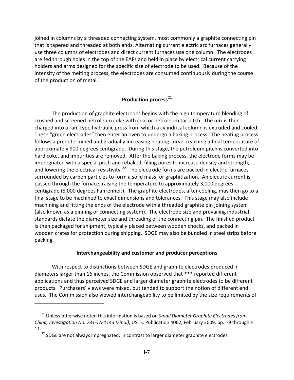joined in columns by a threaded connecting system, most commonly a graphite connecting pin that is tapered and threaded at both ends. Alternating current electric arc furnaces generally use three columns of electrodes and direct current furnaces use one column. The electrodes are fed through holes in the top of the EAFs and held in place by electrical current carrying holders and arms designed for the specific size of electrode to be used. Because of the intensity of the melting process, the electrodes are consumed continuously during the course of the production of metal.

# **Production process**<sup>[21](#page-28-1)</sup>

The production of graphite electrodes begins with the high temperature blending of crushed and screened petroleum coke with coal or petroleum tar pitch. The mix is then charged into a ram type hydraulic press from which a cylindrical column is extruded and cooled. These "green electrodes" then enter an oven to undergo a baking process. The heating process follows a predetermined and gradually increasing heating curve, reaching a final temperature of approximately 900 degrees centigrade. During this stage, the petroleum pitch is converted into hard coke, and impurities are removed. After the baking process, the electrode forms may be impregnated with a special pitch and rebaked, filling pores to increase density and strength, and lowering the electrical resistivity.<sup>22</sup> The electrode forms are packed in electric furnaces surrounded by carbon particles to form a solid mass for graphitization. An electric current is passed through the furnace, raising the temperature to approximately 3,000 degrees centigrade (5,000 degrees Fahrenheit). The graphite electrodes, after cooling, may then go to a final stage to be machined to exact dimensions and tolerances. This stage may also include machining and fitting the ends of the electrode with a threaded graphite pin joining system (also known as a pinning or connecting system). The electrode size and prevailing industrial standards dictate the diameter size and threading of the connecting pin. The finished product is then packaged for shipment, typically placed between wooden chocks, and packed in wooden crates for protection during shipping. SDGE may also be bundled in steel strips before packing.

## **Interchangeability and customer and producer perceptions**

<span id="page-28-0"></span>With respect to distinctions between SDGE and graphite electrodes produced in diameters larger than 16 inches, the Commission observed that \*\*\* reported different applications and thus perceived SDGE and larger diameter graphite electrodes to be different products. Purchasers' views were mixed, but tended to support the notion of different end uses. The Commission also viewed interchangeability to be limited by the size requirements of

<span id="page-28-2"></span><span id="page-28-1"></span><sup>21</sup> Unless otherwise noted this information is based on *Small Diameter Graphite Electrodes from China, Investigation No. 731-TA-1143 (Final)*, USITC Publication 4062, February 2009, pp. I-9 through I-11.<br><sup>22</sup> SDGE are not always impregnated, in contrast to larger diameter graphite electrodes.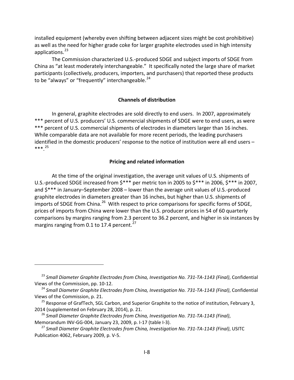installed equipment (whereby even shifting between adjacent sizes might be cost prohibitive) as well as the need for higher grade coke for larger graphite electrodes used in high intensity applications. [23](#page-29-2)

The Commission characterized U.S.-produced SDGE and subject imports of SDGE from China as "at least moderately interchangeable." It specifically noted the large share of market participants (collectively, producers, importers, and purchasers) that reported these products to be "always" or "frequently" interchangeable. $24$ 

## **Channels of distribution**

<span id="page-29-0"></span>In general, graphite electrodes are sold directly to end users. In 2007, approximately \*\*\* percent of U.S. producers' U.S. commercial shipments of SDGE were to end users, as were \*\*\* percent of U.S. commercial shipments of electrodes in diameters larger than 16 inches. While comparable data are not available for more recent periods, the leading purchasers identified in the domestic producers' response to the notice of institution were all end users – \*\*\*. [25](#page-29-4)

## **Pricing and related information**

<span id="page-29-1"></span>At the time of the original investigation, the average unit values of U.S. shipments of U.S.-produced SDGE increased from \$\*\*\* per metric ton in 2005 to \$\*\*\* in 2006, \$\*\*\* in 2007, and \$\*\*\* in January–September 2008 – lower than the average unit values of U.S.-produced graphite electrodes in diameters greater than 16 inches, but higher than U.S. shipments of imports of SDGE from China.<sup>26</sup> With respect to price comparisons for specific forms of SDGE, prices of imports from China were lower than the U.S. producer prices in 54 of 60 quarterly comparisons by margins ranging from 2.3 percent to 36.2 percent, and higher in six instances by margins ranging from 0.1 to 17.4 percent. $^{27}$  $^{27}$  $^{27}$ 

<span id="page-29-2"></span><sup>23</sup> *Small Diameter Graphite Electrodes from China, Investigation No. 731-TA-1143 (Final)*, Confidential Views of the Commission, pp. 10-12.

<span id="page-29-3"></span><sup>24</sup> *Small Diameter Graphite Electrodes from China, Investigation No. 731-TA-1143 (Final)*, Confidential Views of the Commission, p. 21.

<span id="page-29-4"></span><sup>&</sup>lt;sup>25</sup> Response of GrafTech, SGL Carbon, and Superior Graphite to the notice of institution, February 3, 2014 (supplemented on February 28, 2014), p. 21.

<span id="page-29-5"></span><sup>26</sup> *Small Diameter Graphite Electrodes from China, Investigation No. 731-TA-1143 (Final)*, Memorandum INV-GG-004, January 23, 2009, p. I-17 (table I-3).

<span id="page-29-6"></span><sup>27</sup> *Small Diameter Graphite Electrodes from China, Investigation No. 731-TA-1143 (Final)*, USITC Publication 4062, February 2009, p. V-5.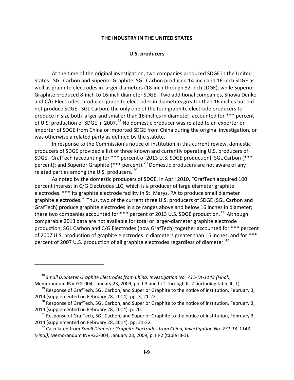#### **THE INDUSTRY IN THE UNITED STATES**

#### **U.S. producers**

<span id="page-30-1"></span><span id="page-30-0"></span>At the time of the original investigation, two companies produced SDGE in the United States: SGL Carbon and Superior Graphite. SGL Carbon produced 14-inch and 16-inch SDGE as well as graphite electrodes in larger diameters (18-inch through 32-inch LDGE), while Superior Graphite produced 8-inch to 16-inch diameter SDGE. Two additional companies, Showa Denko and C/G Electrodes, produced graphite electrodes in diameters greater than 16 inches but did not produce SDGE. SGL Carbon, the only one of the four graphite electrode producers to produce in size both larger and smaller than 16 inches in diameter, accounted for \*\*\* percent of U.S. production of SDGE in 2007.<sup>[28](#page-30-2)</sup> No domestic producer was related to an exporter or importer of SDGE from China or imported SDGE from China during the original investigation, or was otherwise a related party as defined by the statute.

In response to the Commission's notice of institution in this current review, domestic producers of SDGE provided a list of three known and currently operating U.S. producers of SDGE: GrafTech (accounting for \*\*\* percent of 2013 U.S. SDGE production), SGL Carbon (\*\*\* percent); and Superior Graphite (\*\*\* percent).<sup>[29](#page-30-3)</sup> Domestic producers are not aware of any related parties among the U.S. producers. [30](#page-30-4)

As noted by the domestic producers of SDGE, in April 2010, "GrafTech acquired 100 percent interest in C/G Electrodes LLC, which is a producer of large diameter graphite electrodes. \*\*\* its graphite electrode facility in St. Marys, PA to produce small diameter graphite electrodes." Thus, two of the current three U.S. producers of SDGE (SGL Carbon and GrafTech) produce graphite electrodes in size ranges above and below 16 inches in diameter; these two companies accounted for \*\*\* percent of 2013 U.S. SDGE production.<sup>31</sup> Although comparable 2013 data are not available for total or larger-diameter graphite electrode production, SGL Carbon and C/G Electrodes (now GrafTech) together accounted for \*\*\* percent of 2007 U.S. production of graphite electrodes in diameters greater than 16 inches, and for \*\*\* percent of 2007 U.S. production of all graphite electrodes regardless of diameter.<sup>[32](#page-30-6)</sup>

<span id="page-30-2"></span><sup>28</sup> *Small Diameter Graphite Electrodes from China, Investigation No. 731-TA-1143 (Final)*, Memorandum INV-GG-004, January 23, 2009, pp. I-3 and III-1 through III-2 (including table III-1).

<span id="page-30-3"></span><sup>&</sup>lt;sup>29</sup> Response of GrafTech, SGL Carbon, and Superior Graphite to the notice of institution, February 3, 2014 (supplemented on February 28, 2014), pp. 3, 21-22.

<span id="page-30-4"></span><sup>&</sup>lt;sup>30</sup> Response of GrafTech, SGL Carbon, and Superior Graphite to the notice of institution, February 3, 2014 (supplemented on February 28, 2014), p. 20.

<span id="page-30-5"></span><sup>&</sup>lt;sup>31</sup> Response of GrafTech, SGL Carbon, and Superior Graphite to the notice of institution, February 3, 2014 (supplemented on February 28, 2014), pp. 21-22.

<span id="page-30-6"></span><sup>32</sup> Calculated from *Small Diameter Graphite Electrodes from China, Investigation No. 731-TA-1143 (Final)*, Memorandum INV-GG-004, January 23, 2009, p. III-2 (table III-1).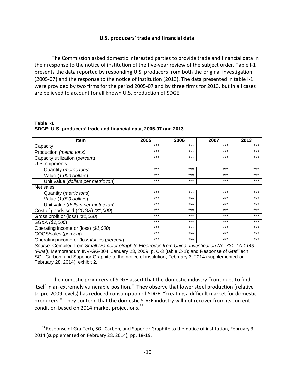## **U.S. producers' trade and financial data**

<span id="page-31-0"></span>The Commission asked domestic interested parties to provide trade and financial data in their response to the notice of institution of the five-year review of the subject order. Table I-1 presents the data reported by responding U.S. producers from both the original investigation (2005-07) and the response to the notice of institution (2013). The data presented in table I-1 were provided by two firms for the period 2005-07 and by three firms for 2013, but in all cases are believed to account for all known U.S. production of SDGE.

**Table I-1 SDGE: U.S. producers' trade and financial data, 2005-07 and 2013**

 $\overline{a}$ 

| <b>Item</b>                                | 2005  | 2006  | 2007  | 2013  |
|--------------------------------------------|-------|-------|-------|-------|
| Capacity                                   | $***$ | $***$ | $***$ | $***$ |
| Production (metric tons)                   | $***$ | ***   | ***   | ***   |
| Capacity utilization (percent)             | $***$ | $***$ | $***$ | $***$ |
| U.S. shipments                             |       |       |       |       |
| Quantity ( <i>metric tons</i> )            | $***$ | $***$ | $***$ | $***$ |
| Value (1,000 dollars)                      | $***$ | $***$ | $***$ | $***$ |
| Unit value (dollars per metric ton)        | $***$ | $***$ | $***$ | $***$ |
| Net sales                                  |       |       |       |       |
| Quantity ( <i>metric tons</i> )            | $***$ | $***$ | $***$ | $***$ |
| Value (1,000 dollars)                      | $***$ | $***$ | $***$ | $***$ |
| Unit value (dollars per metric ton)        | $***$ | $***$ | $***$ | $***$ |
| Cost of goods sold (COGS) (\$1,000)        | $***$ | $***$ | $***$ | $***$ |
| Gross profit or (loss) (\$1,000)           | $***$ | $***$ | $***$ | $***$ |
| SG&A (\$1,000)                             | $***$ | $***$ | $***$ | $***$ |
| Operating income or (loss) (\$1,000)       | $***$ | $***$ | $***$ | $***$ |
| COGS/sales (percent)                       | $***$ | $***$ | $***$ | $***$ |
| Operating income or (loss)/sales (percent) | $***$ | $***$ | $***$ | $***$ |

*Source*: Compiled from *Small Diameter Graphite Electrodes from China, Investigation No. 731-TA-1143 (Final)*, Memorandum INV-GG-004, January 23, 2009, p. C-3 (table C-1); and Response of GrafTech, SGL Carbon, and Superior Graphite to the notice of institution, February 3, 2014 (supplemented on February 28, 2014), exhibit 2.

The domestic producers of SDGE assert that the domestic industry "continues to find itself in an extremely vulnerable position." They observe that lower steel production (relative to pre-2009 levels) has reduced consumption of SDGE, "creating a difficult market for domestic producers." They contend that the domestic SDGE industry will not recover from its current condition based on 2014 market projections.<sup>[33](#page-31-1)</sup>

<span id="page-31-1"></span><sup>&</sup>lt;sup>33</sup> Response of GrafTech, SGL Carbon, and Superior Graphite to the notice of institution, February 3, 2014 (supplemented on February 28, 2014), pp. 18-19.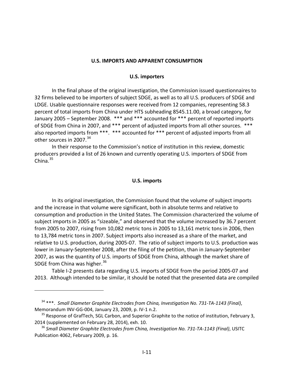#### **U.S. IMPORTS AND APPARENT CONSUMPTION**

#### **U.S. importers**

<span id="page-32-1"></span><span id="page-32-0"></span>In the final phase of the original investigation, the Commission issued questionnaires to 32 firms believed to be importers of subject SDGE, as well as to all U.S. producers of SDGE and LDGE. Usable questionnaire responses were received from 12 companies, representing 58.3 percent of total imports from China under HTS subheading 8545.11.00, a broad category, for January 2005 – September 2008. \*\*\* and \*\*\* accounted for \*\*\* percent of reported imports of SDGE from China in 2007, and \*\*\* percent of adjusted imports from all other sources. \*\*\* also reported imports from \*\*\*. \*\*\* accounted for \*\*\* percent of adjusted imports from all other sources in 2007.<sup>[34](#page-32-3)</sup>

<span id="page-32-2"></span>In their response to the Commission's notice of institution in this review, domestic producers provided a list of 26 known and currently operating U.S. importers of SDGE from China. $35$ 

#### **U.S. imports**

In its original investigation, the Commission found that the volume of subject imports and the increase in that volume were significant, both in absolute terms and relative to consumption and production in the United States. The Commission characterized the volume of subject imports in 2005 as "sizeable," and observed that the volume increased by 36.7 percent from 2005 to 2007, rising from 10,082 metric tons in 2005 to 13,161 metric tons in 2006, then to 13,784 metric tons in 2007. Subject imports also increased as a share of the market, and relative to U.S. production, during 2005-07. The ratio of subject imports to U.S. production was lower in January-September 2008, after the filing of the petition, than in January-September 2007, as was the quantity of U.S. imports of SDGE from China, although the market share of SDGE from China was higher.<sup>[36](#page-32-5)</sup>

Table I-2 presents data regarding U.S. imports of SDGE from the period 2005-07 and 2013. Although intended to be similar, it should be noted that the presented data are compiled

<span id="page-32-3"></span><sup>34</sup> \*\*\*. *Small Diameter Graphite Electrodes from China, Investigation No. 731-TA-1143 (Final)*, Memorandum INV-GG-004, January 23, 2009, p. IV-1 n.2.

<span id="page-32-4"></span><sup>&</sup>lt;sup>35</sup> Response of GrafTech, SGL Carbon, and Superior Graphite to the notice of institution, February 3, 2014 (supplemented on February 28, 2014), exh. 10.

<span id="page-32-5"></span><sup>36</sup> *Small Diameter Graphite Electrodes from China, Investigation No. 731-TA-1143 (Final)*, USITC Publication 4062, February 2009, p. 16.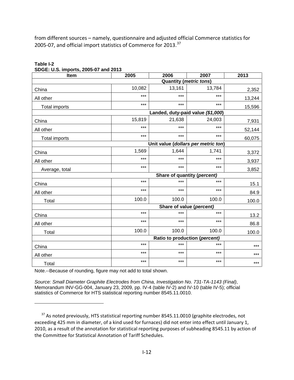from different sources – namely, questionnaire and adjusted official Commerce statistics for 2005-07, and official import statistics of Commerce for 2013.<sup>37</sup>

| Item                 | 2005                              | 2006   | 2007                                | 2013   |  |  |  |  |  |
|----------------------|-----------------------------------|--------|-------------------------------------|--------|--|--|--|--|--|
|                      | <b>Quantity (metric tons)</b>     |        |                                     |        |  |  |  |  |  |
| China                | 10,082                            | 13,161 | 13,784                              | 2,352  |  |  |  |  |  |
| All other            | ***                               | $***$  | ***                                 | 13,244 |  |  |  |  |  |
| <b>Total imports</b> | $***$                             | $***$  | $***$                               | 15,596 |  |  |  |  |  |
|                      | Landed, duty-paid value (\$1,000) |        |                                     |        |  |  |  |  |  |
| China                | 15,819                            | 21,638 | 24,003                              | 7,931  |  |  |  |  |  |
| All other            | $***$                             | $***$  | ***                                 | 52,144 |  |  |  |  |  |
| <b>Total imports</b> | $***$                             | $***$  | $***$                               | 60,075 |  |  |  |  |  |
|                      |                                   |        | Unit value (dollars per metric ton) |        |  |  |  |  |  |
| China                | 1,569                             | 1,644  | 1,741                               | 3,372  |  |  |  |  |  |
| All other            | $***$                             | ***    | ***                                 | 3,937  |  |  |  |  |  |
| Average, total       | $***$                             | $***$  | ***                                 | 3,852  |  |  |  |  |  |
|                      |                                   |        | Share of quantity (percent)         |        |  |  |  |  |  |
| China                | $***$                             | $***$  | ***                                 | 15.1   |  |  |  |  |  |
| All other            | $***$                             | $***$  | $***$                               | 84.9   |  |  |  |  |  |
| Total                | 100.0                             | 100.0  | 100.0                               | 100.0  |  |  |  |  |  |
|                      |                                   |        | Share of value (percent)            |        |  |  |  |  |  |
| China                | $***$                             | $***$  | ***                                 | 13.2   |  |  |  |  |  |
| All other            | $***$                             | ***    | ***                                 | 86.8   |  |  |  |  |  |
| Total                | 100.0                             | 100.0  | 100.0                               | 100.0  |  |  |  |  |  |
|                      | Ratio to production (percent)     |        |                                     |        |  |  |  |  |  |
| China                | $***$                             | $***$  | ***                                 | ***    |  |  |  |  |  |
| All other            | $***$                             | $***$  | ***                                 | ***    |  |  |  |  |  |
| Total                | $***$                             | $***$  | $***$                               | $***$  |  |  |  |  |  |

## **Table I-2 SDGE: U.S. imports, 2005-07 and 2013**

Note.--Because of rounding, figure may not add to total shown.

 $\overline{a}$ 

*Source: Small Diameter Graphite Electrodes from China, Investigation No. 731-TA-1143 (Final)*, Memorandum INV-GG-004, January 23, 2009, pp. IV-4 (table IV-2) and IV-10 (table IV-5); official statistics of Commerce for HTS statistical reporting number 8545.11.0010.

<span id="page-33-0"></span><sup>&</sup>lt;sup>37</sup> As noted previously, HTS statistical reporting number 8545.11.0010 (graphite electrodes, not exceeding 425 mm in diameter, of a kind used for furnaces) did not enter into effect until January 1, 2010, as a result of the annotation for statistical reporting purposes of subheading 8545.11 by action of the Committee for Statistical Annotation of Tariff Schedules.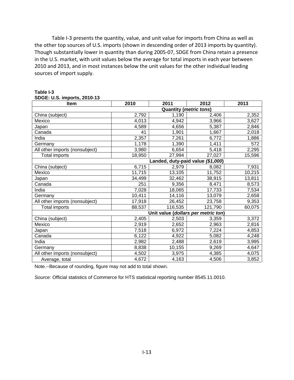Table I-3 presents the quantity, value, and unit value for imports from China as well as the other top sources of U.S. imports (shown in descending order of 2013 imports by quantity). Though substantially lower in quantity than during 2005-07, SDGE from China retain a presence in the U.S. market, with unit values below the average for total imports in each year between 2010 and 2013, and in most instances below the unit values for the other individual leading sources of import supply.

| 52. U.U. IIIIportu, 2010 TU<br><b>Item</b> | 2010   | 2011                    | 2012                                | 2013   |  |  |  |  |
|--------------------------------------------|--------|-------------------------|-------------------------------------|--------|--|--|--|--|
| <b>Quantity (metric tons)</b>              |        |                         |                                     |        |  |  |  |  |
| China (subject)                            | 2,792  | 1,190                   | 2,406                               | 2,352  |  |  |  |  |
| Mexico                                     | 4,013  | 4,942                   | 3,966                               | 3,627  |  |  |  |  |
| Japan                                      | 4,589  | 4,656                   | 5,387                               | 2,846  |  |  |  |  |
| Canada                                     | 41     | 1,901                   | 1,667                               | 2,018  |  |  |  |  |
| India                                      | 2,357  | 7,261                   | 6,772                               | 1,886  |  |  |  |  |
| Germany                                    | 1,178  | 1,390                   | 1,411                               | 572    |  |  |  |  |
| All other imports (nonsubject)             | 3,980  | 6,654                   | 5,418                               | 2,295  |  |  |  |  |
| <b>Total imports</b>                       | 18,950 | 27,994                  | 27,027                              | 15,596 |  |  |  |  |
|                                            |        | Landed, duty-paid value | (\$1,000)                           |        |  |  |  |  |
| China (subject)                            | 6,715  | 2,979                   | 8,082                               | 7,931  |  |  |  |  |
| Mexico                                     | 11,715 | 13,105                  | 11,752                              | 10,215 |  |  |  |  |
| Japan                                      | 34,499 | 32,462                  | 38,915                              | 13,811 |  |  |  |  |
| Canada                                     | 251    | 9,356                   | 8,471                               | 8,573  |  |  |  |  |
| India                                      | 7,028  | 18,065                  | 17,733                              | 7,534  |  |  |  |  |
| Germany                                    | 10,411 | 14,116                  | 13,079                              | 2,658  |  |  |  |  |
| All other imports (nonsubject)             | 17,918 | 26,452                  | 23,758                              | 9,353  |  |  |  |  |
| <b>Total imports</b>                       | 88,537 | 116,535                 | 121,790                             | 60,075 |  |  |  |  |
|                                            |        |                         | Unit value (dollars per metric ton) |        |  |  |  |  |
| China (subject)                            | 2,405  | 2,503                   | 3,359                               | 3,372  |  |  |  |  |
| Mexico                                     | 2,919  | 2,652                   | 2,963                               | 2,816  |  |  |  |  |
| Japan                                      | 7,518  | 6,972                   | 7,224                               | 4,853  |  |  |  |  |
| Canada                                     | 6,122  | 4,922                   | 5,082                               | 4,248  |  |  |  |  |
| India                                      | 2,982  | 2,488                   | 2,619                               | 3,995  |  |  |  |  |
| Germany                                    | 8,838  | 10,155                  | 9,269                               | 4,647  |  |  |  |  |
| All other imports (nonsubject)             | 4,502  | 3,975                   | 4,385                               | 4,075  |  |  |  |  |
| Average, total                             | 4,672  | 4,163                   | 4,506                               | 3,852  |  |  |  |  |

#### **Table I-3 SDGE: U.S. imports, 2010-13**

Note.--Because of rounding, figure may not add to total shown.

*Source:* Official statistics of Commerce for HTS statistical reporting number 8545.11.0010.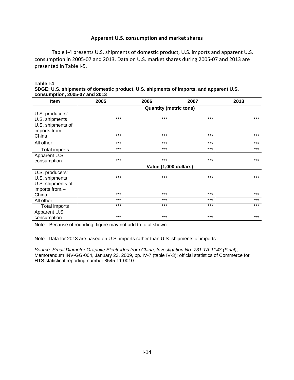## **Apparent U.S. consumption and market shares**

<span id="page-35-0"></span>Table I-4 presents U.S. shipments of domestic product, U.S. imports and apparent U.S. consumption in 2005-07 and 2013. Data on U.S. market shares during 2005-07 and 2013 are presented in Table I-5.

| Table I-4                                                                              |
|----------------------------------------------------------------------------------------|
| SDGE: U.S. shipments of domestic product, U.S. shipments of imports, and apparent U.S. |
| consumption. 2005-07 and 2013                                                          |

| <b>Item</b>       | 2005                          | 2006                  | 2007  | 2013  |  |  |  |  |
|-------------------|-------------------------------|-----------------------|-------|-------|--|--|--|--|
|                   | <b>Quantity (metric tons)</b> |                       |       |       |  |  |  |  |
| U.S. producers'   |                               |                       |       |       |  |  |  |  |
| U.S. shipments    | $***$                         | $***$                 | $***$ | $***$ |  |  |  |  |
| U.S. shipments of |                               |                       |       |       |  |  |  |  |
| imports from.--   |                               |                       |       |       |  |  |  |  |
| China             | ***                           | $***$                 | $***$ | $***$ |  |  |  |  |
| All other         | ***                           | $***$                 | $***$ | ***   |  |  |  |  |
| Total imports     | $***$                         | $***$                 | $***$ | $***$ |  |  |  |  |
| Apparent U.S.     |                               |                       |       |       |  |  |  |  |
| consumption       | $***$                         | $***$                 | $***$ | ***   |  |  |  |  |
|                   |                               | Value (1,000 dollars) |       |       |  |  |  |  |
| U.S. producers'   |                               |                       |       |       |  |  |  |  |
| U.S. shipments    | ***                           | $***$                 | ***   | $***$ |  |  |  |  |
| U.S. shipments of |                               |                       |       |       |  |  |  |  |
| imports from.--   |                               |                       |       |       |  |  |  |  |
| China             | $***$                         | $***$                 | $***$ | $***$ |  |  |  |  |
| All other         | ***                           | $***$                 | $***$ | ***   |  |  |  |  |
| Total imports     | ***                           | $***$                 | $***$ | ***   |  |  |  |  |
| Apparent U.S.     |                               |                       |       |       |  |  |  |  |
| consumption       | ***                           | ***                   | ***   | $***$ |  |  |  |  |

Note.--Because of rounding, figure may not add to total shown.

Note.–Data for 2013 are based on U.S. imports rather than U.S. shipments of imports.

*Source: Small Diameter Graphite Electrodes from China, Investigation No. 731-TA-1143 (Final)*, Memorandum INV-GG-004, January 23, 2009, pp. IV-7 (table IV-3); official statistics of Commerce for HTS statistical reporting number 8545.11.0010.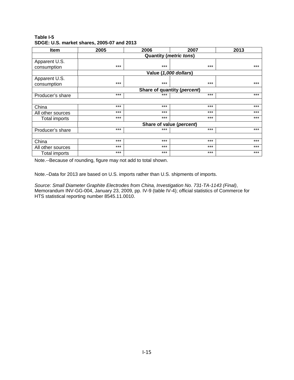**Table I-5 SDGE: U.S. market shares, 2005-07 and 2013**

| <b>Item</b>          | 2005                          | 2006  | 2007                        | 2013  |  |  |  |  |
|----------------------|-------------------------------|-------|-----------------------------|-------|--|--|--|--|
|                      | <b>Quantity (metric tons)</b> |       |                             |       |  |  |  |  |
| Apparent U.S.        |                               |       |                             |       |  |  |  |  |
| consumption          | $***$                         | $***$ | $***$                       | $***$ |  |  |  |  |
|                      |                               |       | Value (1,000 dollars)       |       |  |  |  |  |
| Apparent U.S.        |                               |       |                             |       |  |  |  |  |
| consumption          | $***$                         | $***$ | $***$                       | $***$ |  |  |  |  |
|                      |                               |       | Share of quantity (percent) |       |  |  |  |  |
| Producer's share     | $***$                         | $***$ | $***$                       | $***$ |  |  |  |  |
|                      |                               |       |                             |       |  |  |  |  |
| China                | $***$                         | $***$ | $***$                       | $***$ |  |  |  |  |
| All other sources    | $***$                         | $***$ | ***                         | $***$ |  |  |  |  |
| Total imports        | $***$                         | $***$ | $***$                       | $***$ |  |  |  |  |
|                      |                               |       | Share of value (percent)    |       |  |  |  |  |
| Producer's share     | $***$                         | $***$ | $***$                       | $***$ |  |  |  |  |
|                      |                               |       |                             |       |  |  |  |  |
| China                | $***$                         | $***$ | $***$                       | $***$ |  |  |  |  |
| All other sources    | $***$                         | $***$ | $***$                       | $***$ |  |  |  |  |
| <b>Total imports</b> | $***$                         | $***$ | $***$                       | $***$ |  |  |  |  |

Note.--Because of rounding, figure may not add to total shown.

Note.–Data for 2013 are based on U.S. imports rather than U.S. shipments of imports.

*Source: Small Diameter Graphite Electrodes from China, Investigation No. 731-TA-1143 (Final)*, Memorandum INV-GG-004, January 23, 2009, pp. IV-9 (table IV-4); official statistics of Commerce for HTS statistical reporting number 8545.11.0010.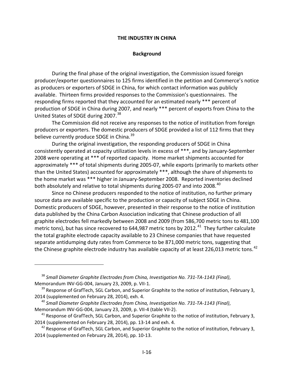#### **THE INDUSTRY IN CHINA**

#### **Background**

<span id="page-37-1"></span><span id="page-37-0"></span>During the final phase of the original investigation, the Commission issued foreign producer/exporter questionnaires to 125 firms identified in the petition and Commerce's notice as producers or exporters of SDGE in China, for which contact information was publicly available. Thirteen firms provided responses to the Commission's questionnaires. The responding firms reported that they accounted for an estimated nearly \*\*\* percent of production of SDGE in China during 2007, and nearly \*\*\* percent of exports from China to the United States of SDGE during 2007.<sup>[38](#page-37-2)</sup>

The Commission did not receive any responses to the notice of institution from foreign producers or exporters. The domestic producers of SDGE provided a list of 112 firms that they believe currently produce SDGE in China.<sup>[39](#page-37-3)</sup>

During the original investigation, the responding producers of SDGE in China consistently operated at capacity utilization levels in excess of \*\*\*, and by January-September 2008 were operating at \*\*\* of reported capacity. Home market shipments accounted for approximately \*\*\* of total shipments during 2005-07, while exports (primarily to markets other than the United States) accounted for approximately \*\*\*, although the share of shipments to the home market was \*\*\* higher in January-September 2008. Reported inventories declined both absolutely and relative to total shipments during 2005-07 and into 2008.<sup>[40](#page-37-4)</sup>

Since no Chinese producers responded to the notice of institution, no further primary source data are available specific to the production or capacity of subject SDGE in China. Domestic producers of SDGE, however, presented in their response to the notice of institution data published by the China Carbon Association indicating that Chinese production of all graphite electrodes fell markedly between 2008 and 2009 (from 586,700 metric tons to 481,100 metric tons), but has since recovered to 644,987 metric tons by 2012.<sup>[41](#page-37-5)</sup> They further calculate the total graphite electrode capacity available to 23 Chinese companies that have requested separate antidumping duty rates from Commerce to be 871,000 metric tons, suggesting that the Chinese graphite electrode industry has available capacity of at least 226,013 metric tons.<sup>[42](#page-37-6)</sup>

<span id="page-37-2"></span><sup>38</sup> *Small Diameter Graphite Electrodes from China, Investigation No. 731-TA-1143 (Final)*, Memorandum INV-GG-004, January 23, 2009, p. VII-1.

<span id="page-37-3"></span><sup>&</sup>lt;sup>39</sup> Response of GrafTech, SGL Carbon, and Superior Graphite to the notice of institution, February 3, 2014 (supplemented on February 28, 2014), exh. 4.

<span id="page-37-4"></span><sup>40</sup> *Small Diameter Graphite Electrodes from China, Investigation No. 731-TA-1143 (Final)*, Memorandum INV-GG-004, January 23, 2009, p. VII-4 (table VII-2).

<span id="page-37-5"></span> $41$  Response of GrafTech, SGL Carbon, and Superior Graphite to the notice of institution, February 3, 2014 (supplemented on February 28, 2014), pp. 13-14 and exh. 4.

<span id="page-37-6"></span> $42$  Response of GrafTech, SGL Carbon, and Superior Graphite to the notice of institution, February 3, 2014 (supplemented on February 28, 2014), pp. 10-13.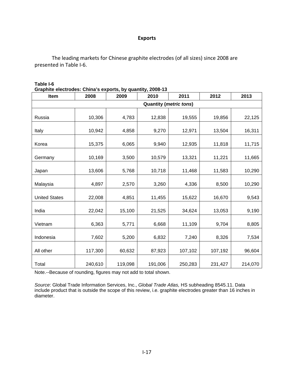## **Exports**

<span id="page-38-0"></span>The leading markets for Chinese graphite electrodes (of all sizes) since 2008 are presented in Table I-6.

| Graphite electrodes. Chiria S exports, by quantity, 2006-13<br><b>Item</b> | 2008    | 2009    | 2010    | 2011    | 2012    | 2013    |  |
|----------------------------------------------------------------------------|---------|---------|---------|---------|---------|---------|--|
| <b>Quantity (metric tons)</b>                                              |         |         |         |         |         |         |  |
| Russia                                                                     | 10,306  | 4,783   | 12,838  | 19,555  | 19,856  | 22,125  |  |
| Italy                                                                      | 10,942  | 4,858   | 9,270   | 12,971  | 13,504  | 16,311  |  |
| Korea                                                                      | 15,375  | 6,065   | 9,940   | 12,935  | 11,818  | 11,715  |  |
| Germany                                                                    | 10,169  | 3,500   | 10,579  | 13,321  | 11,221  | 11,665  |  |
| Japan                                                                      | 13,606  | 5,768   | 10,718  | 11,468  | 11,583  | 10,290  |  |
| Malaysia                                                                   | 4,897   | 2,570   | 3,260   | 4,336   | 8,500   | 10,290  |  |
| <b>United States</b>                                                       | 22,008  | 4,851   | 11,455  | 15,622  | 16,670  | 9,543   |  |
| India                                                                      | 22,042  | 15,100  | 21,525  | 34,624  | 13,053  | 9,190   |  |
| Vietnam                                                                    | 6,363   | 5,771   | 6,668   | 11,109  | 9,704   | 8,805   |  |
| Indonesia                                                                  | 7,602   | 5,200   | 6,832   | 7,240   | 8,326   | 7,534   |  |
| All other                                                                  | 117,300 | 60,632  | 87,923  | 107,102 | 107,192 | 96,604  |  |
| Total                                                                      | 240,610 | 119,098 | 191,006 | 250,283 | 231,427 | 214,070 |  |

#### **Table I-6 Graphite electrodes: China's exports, by quantity, 2008-13**

Note.--Because of rounding, figures may not add to total shown.

*Source*: Global Trade Information Services, Inc., *Global Trade Atlas,* HS subheading 8545.11. Data include product that is outside the scope of this review, i.e. graphite electrodes greater than 16 inches in diameter.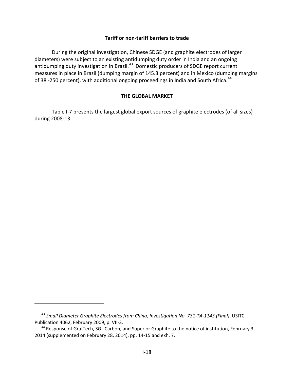## **Tariff or non-tariff barriers to trade**

<span id="page-39-0"></span>During the original investigation, Chinese SDGE (and graphite electrodes of larger diameters) were subject to an existing antidumping duty order in India and an ongoing antidumping duty investigation in Brazil.<sup>43</sup> Domestic producers of SDGE report current measures in place in Brazil (dumping margin of 145.3 percent) and in Mexico (dumping margins of 38 -250 percent), with additional ongoing proceedings in India and South Africa.<sup>[44](#page-39-3)</sup>

## **THE GLOBAL MARKET**

<span id="page-39-1"></span>Table I-7 presents the largest global export sources of graphite electrodes (of all sizes) during 2008-13.

<span id="page-39-2"></span><sup>43</sup> *Small Diameter Graphite Electrodes from China, Investigation No. 731-TA-1143 (Final)*, USITC Publication 4062, February 2009, p. VII-3.

<span id="page-39-3"></span><sup>&</sup>lt;sup>44</sup> Response of GrafTech, SGL Carbon, and Superior Graphite to the notice of institution, February 3, 2014 (supplemented on February 28, 2014), pp. 14-15 and exh. 7.